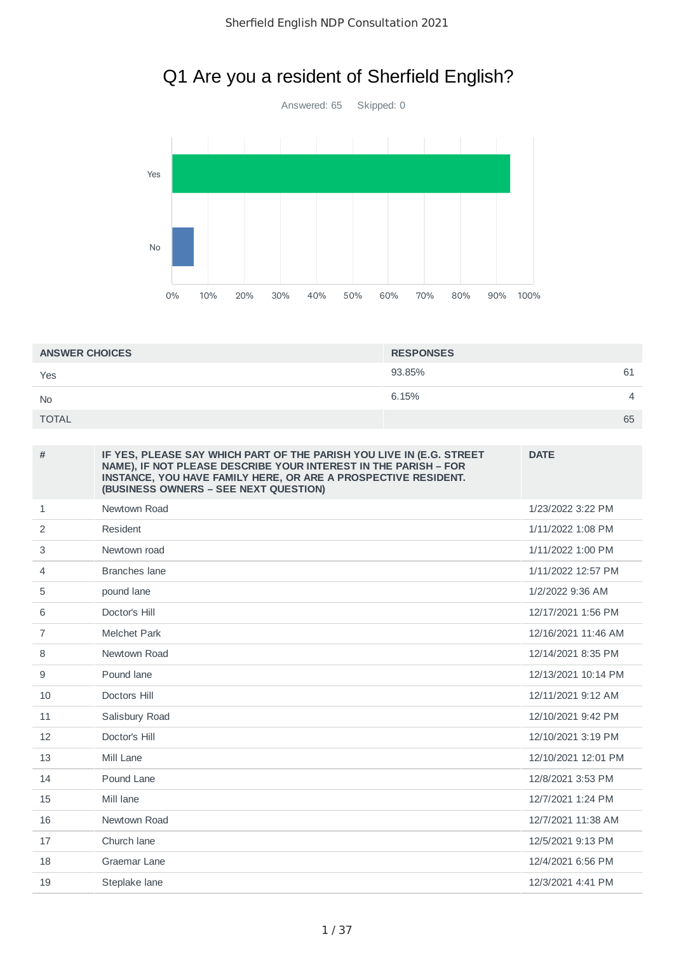# 0% 10% 20% 30% 40% 50% 60% 70% 80% 90% 100% Yes No

## Q1 Are you a resident of Sherfield English?

Answered: 65 Skipped: 0

| <b>ANSWER CHOICES</b> | <b>RESPONSES</b> |    |
|-----------------------|------------------|----|
| Yes                   | 93.85%           | 61 |
| <b>No</b>             | 6.15%            |    |
| <b>TOTAL</b>          |                  | 65 |

| #              | IF YES, PLEASE SAY WHICH PART OF THE PARISH YOU LIVE IN (E.G. STREET<br>NAME), IF NOT PLEASE DESCRIBE YOUR INTEREST IN THE PARISH - FOR<br>INSTANCE, YOU HAVE FAMILY HERE, OR ARE A PROSPECTIVE RESIDENT.<br>(BUSINESS OWNERS - SEE NEXT QUESTION) | <b>DATE</b>         |
|----------------|----------------------------------------------------------------------------------------------------------------------------------------------------------------------------------------------------------------------------------------------------|---------------------|
| $\mathbf{1}$   | Newtown Road                                                                                                                                                                                                                                       | 1/23/2022 3:22 PM   |
| 2              | Resident                                                                                                                                                                                                                                           | 1/11/2022 1:08 PM   |
| 3              | Newtown road                                                                                                                                                                                                                                       | 1/11/2022 1:00 PM   |
| 4              | Branches lane                                                                                                                                                                                                                                      | 1/11/2022 12:57 PM  |
| 5              | pound lane                                                                                                                                                                                                                                         | 1/2/2022 9:36 AM    |
| 6              | Doctor's Hill                                                                                                                                                                                                                                      | 12/17/2021 1:56 PM  |
| $\overline{7}$ | <b>Melchet Park</b>                                                                                                                                                                                                                                | 12/16/2021 11:46 AM |
| 8              | Newtown Road                                                                                                                                                                                                                                       | 12/14/2021 8:35 PM  |
| 9              | Pound lane                                                                                                                                                                                                                                         | 12/13/2021 10:14 PM |
| 10             | Doctors Hill                                                                                                                                                                                                                                       | 12/11/2021 9:12 AM  |
| 11             | Salisbury Road                                                                                                                                                                                                                                     | 12/10/2021 9:42 PM  |
| 12             | Doctor's Hill                                                                                                                                                                                                                                      | 12/10/2021 3:19 PM  |
| 13             | Mill Lane                                                                                                                                                                                                                                          | 12/10/2021 12:01 PM |
| 14             | Pound Lane                                                                                                                                                                                                                                         | 12/8/2021 3:53 PM   |
| 15             | Mill lane                                                                                                                                                                                                                                          | 12/7/2021 1:24 PM   |
| 16             | Newtown Road                                                                                                                                                                                                                                       | 12/7/2021 11:38 AM  |
| 17             | Church lane                                                                                                                                                                                                                                        | 12/5/2021 9:13 PM   |
| 18             | <b>Graemar Lane</b>                                                                                                                                                                                                                                | 12/4/2021 6:56 PM   |
| 19             | Steplake lane                                                                                                                                                                                                                                      | 12/3/2021 4:41 PM   |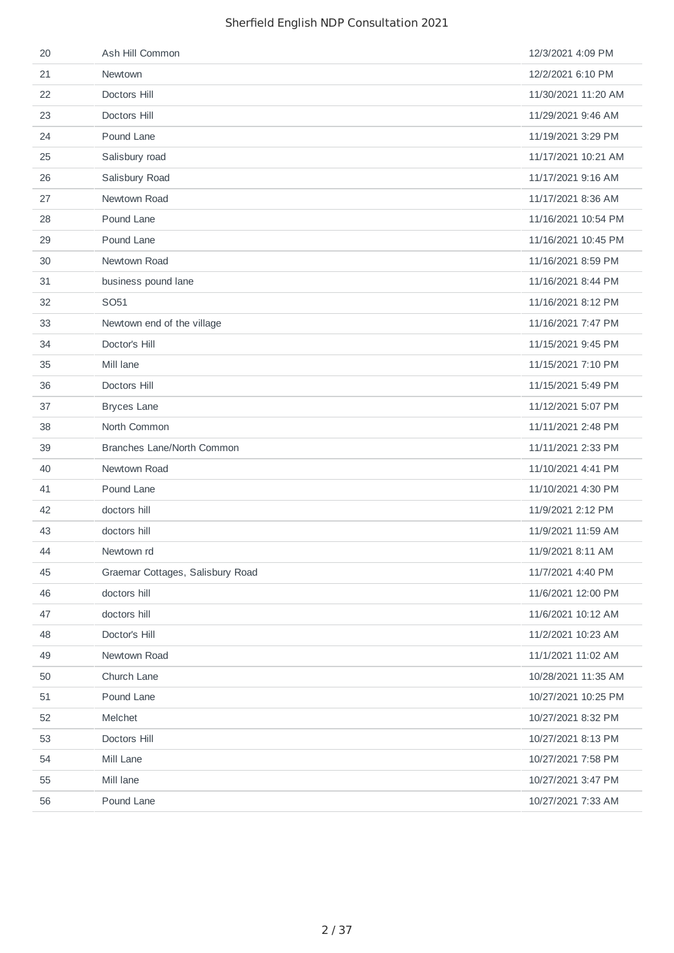| 20 | Ash Hill Common                  | 12/3/2021 4:09 PM   |
|----|----------------------------------|---------------------|
| 21 | Newtown                          | 12/2/2021 6:10 PM   |
| 22 | Doctors Hill                     | 11/30/2021 11:20 AM |
| 23 | Doctors Hill                     | 11/29/2021 9:46 AM  |
| 24 | Pound Lane                       | 11/19/2021 3:29 PM  |
| 25 | Salisbury road                   | 11/17/2021 10:21 AM |
| 26 | Salisbury Road                   | 11/17/2021 9:16 AM  |
| 27 | Newtown Road                     | 11/17/2021 8:36 AM  |
| 28 | Pound Lane                       | 11/16/2021 10:54 PM |
| 29 | Pound Lane                       | 11/16/2021 10:45 PM |
| 30 | Newtown Road                     | 11/16/2021 8:59 PM  |
| 31 | business pound lane              | 11/16/2021 8:44 PM  |
| 32 | SO51                             | 11/16/2021 8:12 PM  |
| 33 | Newtown end of the village       | 11/16/2021 7:47 PM  |
| 34 | Doctor's Hill                    | 11/15/2021 9:45 PM  |
| 35 | Mill lane                        | 11/15/2021 7:10 PM  |
| 36 | Doctors Hill                     | 11/15/2021 5:49 PM  |
| 37 | <b>Bryces Lane</b>               | 11/12/2021 5:07 PM  |
| 38 | North Common                     | 11/11/2021 2:48 PM  |
| 39 | Branches Lane/North Common       | 11/11/2021 2:33 PM  |
| 40 | Newtown Road                     | 11/10/2021 4:41 PM  |
| 41 | Pound Lane                       | 11/10/2021 4:30 PM  |
| 42 | doctors hill                     | 11/9/2021 2:12 PM   |
| 43 | doctors hill                     | 11/9/2021 11:59 AM  |
| 44 | Newtown rd                       | 11/9/2021 8:11 AM   |
| 45 | Graemar Cottages, Salisbury Road | 11/7/2021 4:40 PM   |
| 46 | doctors hill                     | 11/6/2021 12:00 PM  |
| 47 | doctors hill                     | 11/6/2021 10:12 AM  |
| 48 | Doctor's Hill                    | 11/2/2021 10:23 AM  |
| 49 | Newtown Road                     | 11/1/2021 11:02 AM  |
| 50 | Church Lane                      | 10/28/2021 11:35 AM |
| 51 | Pound Lane                       | 10/27/2021 10:25 PM |
| 52 | Melchet                          | 10/27/2021 8:32 PM  |
| 53 | Doctors Hill                     | 10/27/2021 8:13 PM  |
| 54 | Mill Lane                        | 10/27/2021 7:58 PM  |
| 55 | Mill lane                        | 10/27/2021 3:47 PM  |
| 56 | Pound Lane                       | 10/27/2021 7:33 AM  |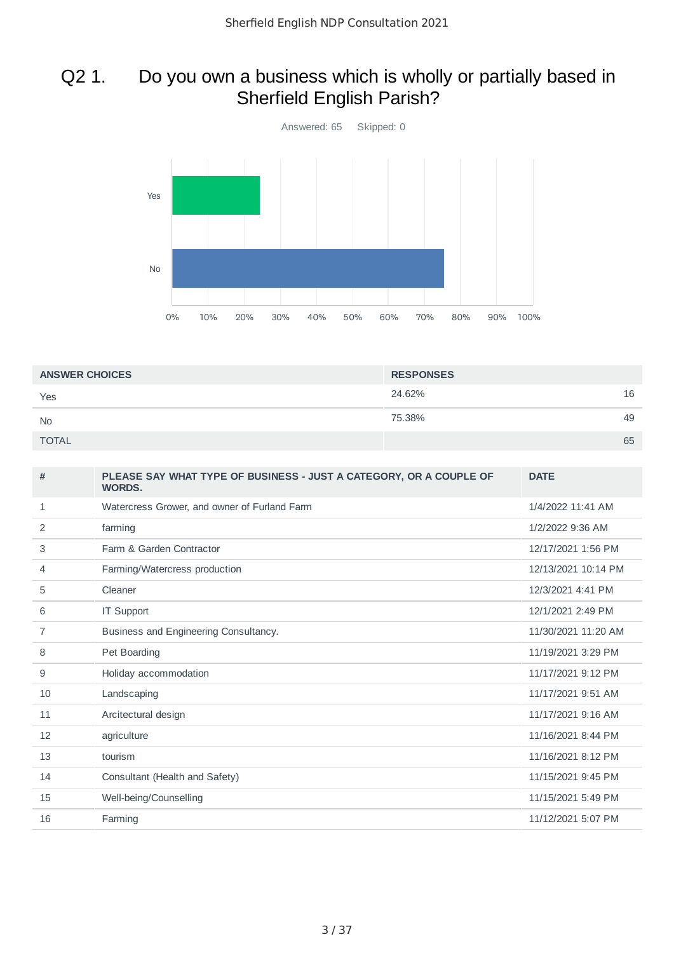## Q2 1. Do you own a business which is wholly or partially based in Sherfield English Parish?



| <b>ANSWER CHOICES</b> | <b>RESPONSES</b> |    |
|-----------------------|------------------|----|
| Yes                   | 24.62%           | 16 |
| <b>No</b>             | 75.38%           | 49 |
| <b>TOTAL</b>          |                  | 65 |

| #              | PLEASE SAY WHAT TYPE OF BUSINESS - JUST A CATEGORY, OR A COUPLE OF<br><b>WORDS.</b> | <b>DATE</b>         |
|----------------|-------------------------------------------------------------------------------------|---------------------|
| 1              | Watercress Grower, and owner of Furland Farm                                        | 1/4/2022 11:41 AM   |
| 2              | farming                                                                             | 1/2/2022 9:36 AM    |
| 3              | Farm & Garden Contractor                                                            | 12/17/2021 1:56 PM  |
| 4              | Farming/Watercress production                                                       | 12/13/2021 10:14 PM |
| 5              | Cleaner                                                                             | 12/3/2021 4:41 PM   |
| 6              | IT Support                                                                          | 12/1/2021 2:49 PM   |
| $\overline{7}$ | Business and Engineering Consultancy.                                               | 11/30/2021 11:20 AM |
| 8              | Pet Boarding                                                                        | 11/19/2021 3:29 PM  |
| 9              | Holiday accommodation                                                               | 11/17/2021 9:12 PM  |
| 10             | Landscaping                                                                         | 11/17/2021 9:51 AM  |
| 11             | Arcitectural design                                                                 | 11/17/2021 9:16 AM  |
| 12             | agriculture                                                                         | 11/16/2021 8:44 PM  |
| 13             | tourism                                                                             | 11/16/2021 8:12 PM  |
| 14             | Consultant (Health and Safety)                                                      | 11/15/2021 9:45 PM  |
| 15             | Well-being/Counselling                                                              | 11/15/2021 5:49 PM  |
| 16             | Farming                                                                             | 11/12/2021 5:07 PM  |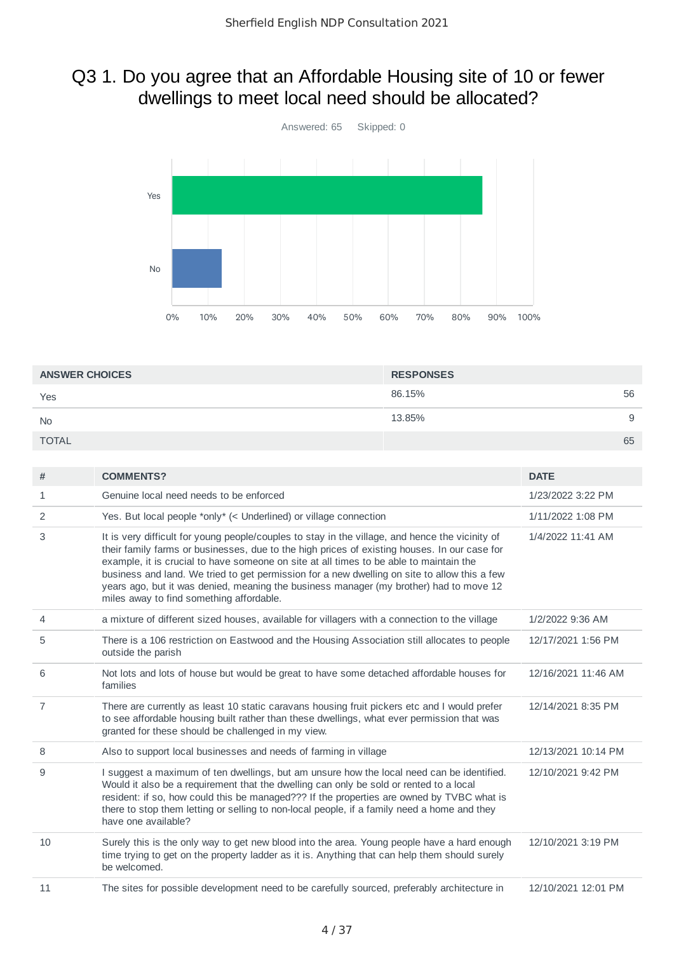## Q3 1. Do you agree that an Affordable Housing site of 10 or fewer dwellings to meet local need should be allocated?



| <b>ANSWER CHOICES</b> | <b>RESPONSES</b> |   |
|-----------------------|------------------|---|
| Yes                   | 86.15%<br>56     |   |
| <b>No</b>             | 13.85%           | a |
| <b>TOTAL</b>          | 65               |   |

| #  | <b>COMMENTS?</b>                                                                                                                                                                                                                                                                                                                                                                                                                                                                                                                | <b>DATE</b>         |
|----|---------------------------------------------------------------------------------------------------------------------------------------------------------------------------------------------------------------------------------------------------------------------------------------------------------------------------------------------------------------------------------------------------------------------------------------------------------------------------------------------------------------------------------|---------------------|
| 1  | Genuine local need needs to be enforced                                                                                                                                                                                                                                                                                                                                                                                                                                                                                         | 1/23/2022 3:22 PM   |
| 2  | Yes. But local people *only* (< Underlined) or village connection                                                                                                                                                                                                                                                                                                                                                                                                                                                               | 1/11/2022 1:08 PM   |
| 3  | It is very difficult for young people/couples to stay in the village, and hence the vicinity of<br>their family farms or businesses, due to the high prices of existing houses. In our case for<br>example, it is crucial to have someone on site at all times to be able to maintain the<br>business and land. We tried to get permission for a new dwelling on site to allow this a few<br>years ago, but it was denied, meaning the business manager (my brother) had to move 12<br>miles away to find something affordable. | 1/4/2022 11:41 AM   |
| 4  | a mixture of different sized houses, available for villagers with a connection to the village                                                                                                                                                                                                                                                                                                                                                                                                                                   | 1/2/2022 9:36 AM    |
| 5  | There is a 106 restriction on Eastwood and the Housing Association still allocates to people<br>outside the parish                                                                                                                                                                                                                                                                                                                                                                                                              | 12/17/2021 1:56 PM  |
| 6  | Not lots and lots of house but would be great to have some detached affordable houses for<br>families                                                                                                                                                                                                                                                                                                                                                                                                                           | 12/16/2021 11:46 AM |
| 7  | There are currently as least 10 static caravans housing fruit pickers etc and I would prefer<br>to see affordable housing built rather than these dwellings, what ever permission that was<br>granted for these should be challenged in my view.                                                                                                                                                                                                                                                                                | 12/14/2021 8:35 PM  |
| 8  | Also to support local businesses and needs of farming in village                                                                                                                                                                                                                                                                                                                                                                                                                                                                | 12/13/2021 10:14 PM |
| 9  | I suggest a maximum of ten dwellings, but am unsure how the local need can be identified.<br>Would it also be a requirement that the dwelling can only be sold or rented to a local<br>resident: if so, how could this be managed??? If the properties are owned by TVBC what is<br>there to stop them letting or selling to non-local people, if a family need a home and they<br>have one available?                                                                                                                          | 12/10/2021 9:42 PM  |
| 10 | Surely this is the only way to get new blood into the area. Young people have a hard enough<br>time trying to get on the property ladder as it is. Anything that can help them should surely<br>be welcomed.                                                                                                                                                                                                                                                                                                                    | 12/10/2021 3:19 PM  |
| 11 | The sites for possible development need to be carefully sourced, preferably architecture in                                                                                                                                                                                                                                                                                                                                                                                                                                     | 12/10/2021 12:01 PM |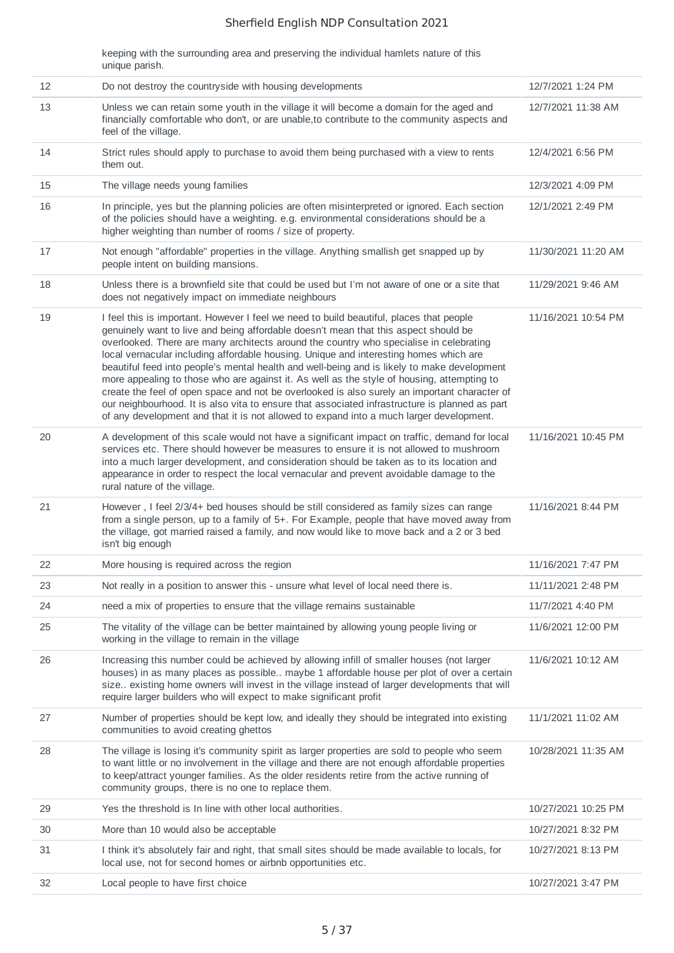|    | keeping with the surrounding area and preserving the individual hamlets nature of this<br>unique parish.                                                                                                                                                                                                                                                                                                                                                                                                                                                                                                                                                                                                                                                                                                                                                    |                     |
|----|-------------------------------------------------------------------------------------------------------------------------------------------------------------------------------------------------------------------------------------------------------------------------------------------------------------------------------------------------------------------------------------------------------------------------------------------------------------------------------------------------------------------------------------------------------------------------------------------------------------------------------------------------------------------------------------------------------------------------------------------------------------------------------------------------------------------------------------------------------------|---------------------|
| 12 | Do not destroy the countryside with housing developments                                                                                                                                                                                                                                                                                                                                                                                                                                                                                                                                                                                                                                                                                                                                                                                                    | 12/7/2021 1:24 PM   |
| 13 | Unless we can retain some youth in the village it will become a domain for the aged and<br>financially comfortable who don't, or are unable, to contribute to the community aspects and<br>feel of the village.                                                                                                                                                                                                                                                                                                                                                                                                                                                                                                                                                                                                                                             | 12/7/2021 11:38 AM  |
| 14 | Strict rules should apply to purchase to avoid them being purchased with a view to rents<br>them out.                                                                                                                                                                                                                                                                                                                                                                                                                                                                                                                                                                                                                                                                                                                                                       | 12/4/2021 6:56 PM   |
| 15 | The village needs young families                                                                                                                                                                                                                                                                                                                                                                                                                                                                                                                                                                                                                                                                                                                                                                                                                            | 12/3/2021 4:09 PM   |
| 16 | In principle, yes but the planning policies are often misinterpreted or ignored. Each section<br>of the policies should have a weighting. e.g. environmental considerations should be a<br>higher weighting than number of rooms / size of property.                                                                                                                                                                                                                                                                                                                                                                                                                                                                                                                                                                                                        | 12/1/2021 2:49 PM   |
| 17 | Not enough "affordable" properties in the village. Anything smallish get snapped up by<br>people intent on building mansions.                                                                                                                                                                                                                                                                                                                                                                                                                                                                                                                                                                                                                                                                                                                               | 11/30/2021 11:20 AM |
| 18 | Unless there is a brownfield site that could be used but I'm not aware of one or a site that<br>does not negatively impact on immediate neighbours                                                                                                                                                                                                                                                                                                                                                                                                                                                                                                                                                                                                                                                                                                          | 11/29/2021 9:46 AM  |
| 19 | I feel this is important. However I feel we need to build beautiful, places that people<br>genuinely want to live and being affordable doesn't mean that this aspect should be<br>overlooked. There are many architects around the country who specialise in celebrating<br>local vernacular including affordable housing. Unique and interesting homes which are<br>beautiful feed into people's mental health and well-being and is likely to make development<br>more appealing to those who are against it. As well as the style of housing, attempting to<br>create the feel of open space and not be overlooked is also surely an important character of<br>our neighbourhood. It is also vita to ensure that associated infrastructure is planned as part<br>of any development and that it is not allowed to expand into a much larger development. | 11/16/2021 10:54 PM |
| 20 | A development of this scale would not have a significant impact on traffic, demand for local<br>services etc. There should however be measures to ensure it is not allowed to mushroom<br>into a much larger development, and consideration should be taken as to its location and<br>appearance in order to respect the local vernacular and prevent avoidable damage to the<br>rural nature of the village.                                                                                                                                                                                                                                                                                                                                                                                                                                               | 11/16/2021 10:45 PM |
| 21 | However, I feel 2/3/4+ bed houses should be still considered as family sizes can range<br>from a single person, up to a family of 5+. For Example, people that have moved away from<br>the village, got married raised a family, and now would like to move back and a 2 or 3 bed<br>isn't big enough                                                                                                                                                                                                                                                                                                                                                                                                                                                                                                                                                       | 11/16/2021 8:44 PM  |
| 22 | More housing is required across the region                                                                                                                                                                                                                                                                                                                                                                                                                                                                                                                                                                                                                                                                                                                                                                                                                  | 11/16/2021 7:47 PM  |
| 23 | Not really in a position to answer this - unsure what level of local need there is.                                                                                                                                                                                                                                                                                                                                                                                                                                                                                                                                                                                                                                                                                                                                                                         | 11/11/2021 2:48 PM  |
| 24 | need a mix of properties to ensure that the village remains sustainable                                                                                                                                                                                                                                                                                                                                                                                                                                                                                                                                                                                                                                                                                                                                                                                     | 11/7/2021 4:40 PM   |
| 25 | The vitality of the village can be better maintained by allowing young people living or<br>working in the village to remain in the village                                                                                                                                                                                                                                                                                                                                                                                                                                                                                                                                                                                                                                                                                                                  | 11/6/2021 12:00 PM  |
| 26 | Increasing this number could be achieved by allowing infill of smaller houses (not larger<br>houses) in as many places as possible maybe 1 affordable house per plot of over a certain<br>size existing home owners will invest in the village instead of larger developments that will<br>require larger builders who will expect to make significant profit                                                                                                                                                                                                                                                                                                                                                                                                                                                                                               | 11/6/2021 10:12 AM  |
| 27 | Number of properties should be kept low, and ideally they should be integrated into existing<br>communities to avoid creating ghettos                                                                                                                                                                                                                                                                                                                                                                                                                                                                                                                                                                                                                                                                                                                       | 11/1/2021 11:02 AM  |
| 28 | The village is losing it's community spirit as larger properties are sold to people who seem<br>to want little or no involvement in the village and there are not enough affordable properties<br>to keep/attract younger families. As the older residents retire from the active running of<br>community groups, there is no one to replace them.                                                                                                                                                                                                                                                                                                                                                                                                                                                                                                          | 10/28/2021 11:35 AM |
| 29 | Yes the threshold is In line with other local authorities.                                                                                                                                                                                                                                                                                                                                                                                                                                                                                                                                                                                                                                                                                                                                                                                                  | 10/27/2021 10:25 PM |
| 30 | More than 10 would also be acceptable                                                                                                                                                                                                                                                                                                                                                                                                                                                                                                                                                                                                                                                                                                                                                                                                                       | 10/27/2021 8:32 PM  |
| 31 | I think it's absolutely fair and right, that small sites should be made available to locals, for<br>local use, not for second homes or airbnb opportunities etc.                                                                                                                                                                                                                                                                                                                                                                                                                                                                                                                                                                                                                                                                                            | 10/27/2021 8:13 PM  |
| 32 | Local people to have first choice                                                                                                                                                                                                                                                                                                                                                                                                                                                                                                                                                                                                                                                                                                                                                                                                                           | 10/27/2021 3:47 PM  |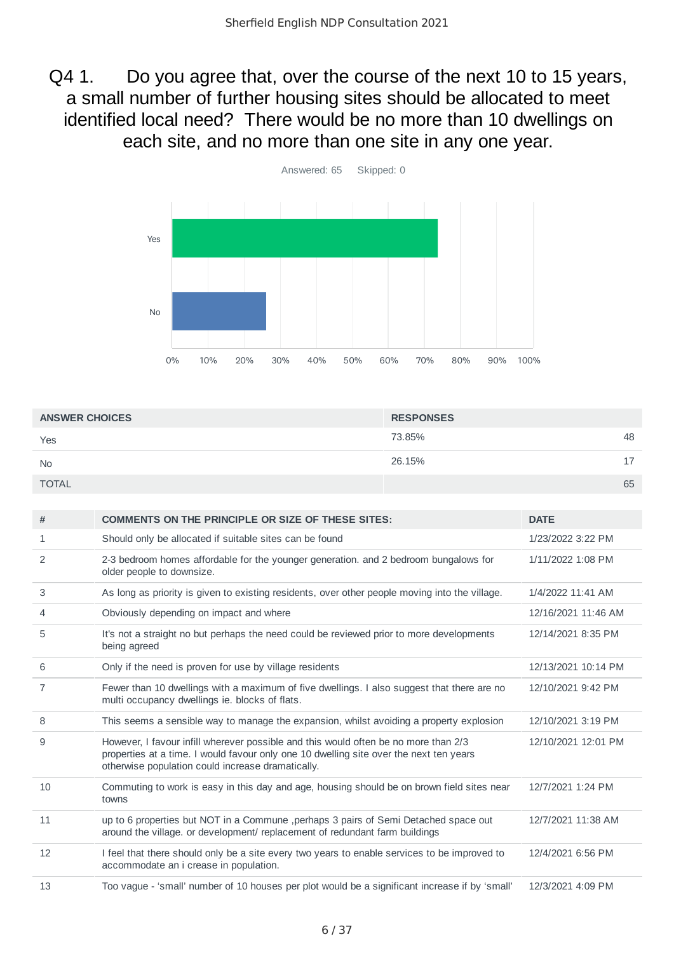## Q4 1. Do you agree that, over the course of the next 10 to 15 years, a small number of further housing sites should be allocated to meet identified local need? There would be no more than 10 dwellings on each site, and no more than one site in any one year.



| <b>ANSWER CHOICES</b> | <b>RESPONSES</b> |    |
|-----------------------|------------------|----|
| Yes                   | 73.85%           | 48 |
| <b>No</b>             | 26.15%           |    |
| <b>TOTAL</b>          |                  | 65 |

| #  | <b>COMMENTS ON THE PRINCIPLE OR SIZE OF THESE SITES:</b>                                                                                                                                                                           | <b>DATE</b>         |
|----|------------------------------------------------------------------------------------------------------------------------------------------------------------------------------------------------------------------------------------|---------------------|
| 1  | Should only be allocated if suitable sites can be found                                                                                                                                                                            | 1/23/2022 3:22 PM   |
| 2  | 2-3 bedroom homes affordable for the younger generation, and 2 bedroom bungalows for<br>older people to downsize.                                                                                                                  | 1/11/2022 1:08 PM   |
| 3  | As long as priority is given to existing residents, over other people moving into the village.                                                                                                                                     | 1/4/2022 11:41 AM   |
| 4  | Obviously depending on impact and where                                                                                                                                                                                            | 12/16/2021 11:46 AM |
| 5  | It's not a straight no but perhaps the need could be reviewed prior to more developments<br>being agreed                                                                                                                           | 12/14/2021 8:35 PM  |
| 6  | Only if the need is proven for use by village residents                                                                                                                                                                            | 12/13/2021 10:14 PM |
| 7  | Fewer than 10 dwellings with a maximum of five dwellings. I also suggest that there are no<br>multi occupancy dwellings ie. blocks of flats.                                                                                       | 12/10/2021 9:42 PM  |
| 8  | This seems a sensible way to manage the expansion, whilst avoiding a property explosion                                                                                                                                            | 12/10/2021 3:19 PM  |
| 9  | However, I favour infill wherever possible and this would often be no more than 2/3<br>properties at a time. I would favour only one 10 dwelling site over the next ten years<br>otherwise population could increase dramatically. | 12/10/2021 12:01 PM |
| 10 | Commuting to work is easy in this day and age, housing should be on brown field sites near<br>towns                                                                                                                                | 12/7/2021 1:24 PM   |
| 11 | up to 6 properties but NOT in a Commune , perhaps 3 pairs of Semi Detached space out<br>around the village, or development/ replacement of redundant farm buildings                                                                | 12/7/2021 11:38 AM  |
| 12 | I feel that there should only be a site every two years to enable services to be improved to<br>accommodate an i crease in population.                                                                                             | 12/4/2021 6:56 PM   |
| 13 | Too vague - 'small' number of 10 houses per plot would be a significant increase if by 'small'                                                                                                                                     | 12/3/2021 4:09 PM   |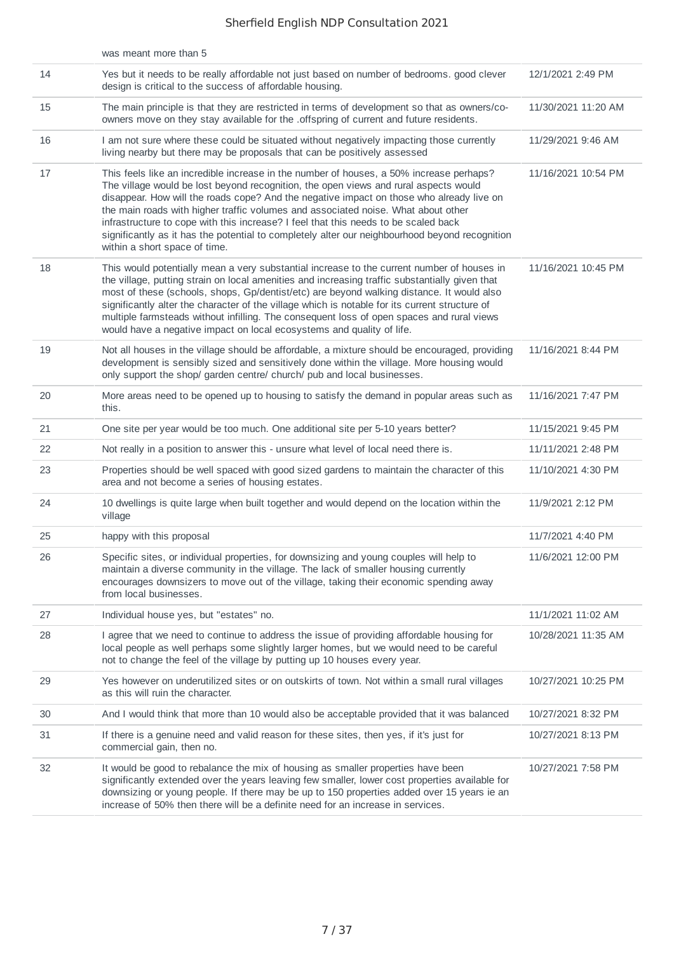|    | was meant more than 5                                                                                                                                                                                                                                                                                                                                                                                                                                                                                                                                                                      |                     |
|----|--------------------------------------------------------------------------------------------------------------------------------------------------------------------------------------------------------------------------------------------------------------------------------------------------------------------------------------------------------------------------------------------------------------------------------------------------------------------------------------------------------------------------------------------------------------------------------------------|---------------------|
| 14 | Yes but it needs to be really affordable not just based on number of bedrooms. good clever<br>design is critical to the success of affordable housing.                                                                                                                                                                                                                                                                                                                                                                                                                                     | 12/1/2021 2:49 PM   |
| 15 | The main principle is that they are restricted in terms of development so that as owners/co-<br>owners move on they stay available for the .offspring of current and future residents.                                                                                                                                                                                                                                                                                                                                                                                                     | 11/30/2021 11:20 AM |
| 16 | I am not sure where these could be situated without negatively impacting those currently<br>living nearby but there may be proposals that can be positively assessed                                                                                                                                                                                                                                                                                                                                                                                                                       | 11/29/2021 9:46 AM  |
| 17 | This feels like an incredible increase in the number of houses, a 50% increase perhaps?<br>The village would be lost beyond recognition, the open views and rural aspects would<br>disappear. How will the roads cope? And the negative impact on those who already live on<br>the main roads with higher traffic volumes and associated noise. What about other<br>infrastructure to cope with this increase? I feel that this needs to be scaled back<br>significantly as it has the potential to completely alter our neighbourhood beyond recognition<br>within a short space of time. | 11/16/2021 10:54 PM |
| 18 | This would potentially mean a very substantial increase to the current number of houses in<br>the village, putting strain on local amenities and increasing traffic substantially given that<br>most of these (schools, shops, Gp/dentist/etc) are beyond walking distance. It would also<br>significantly alter the character of the village which is notable for its current structure of<br>multiple farmsteads without infilling. The consequent loss of open spaces and rural views<br>would have a negative impact on local ecosystems and quality of life.                          | 11/16/2021 10:45 PM |
| 19 | Not all houses in the village should be affordable, a mixture should be encouraged, providing<br>development is sensibly sized and sensitively done within the village. More housing would<br>only support the shop/ garden centre/ church/ pub and local businesses.                                                                                                                                                                                                                                                                                                                      | 11/16/2021 8:44 PM  |
| 20 | More areas need to be opened up to housing to satisfy the demand in popular areas such as<br>this.                                                                                                                                                                                                                                                                                                                                                                                                                                                                                         | 11/16/2021 7:47 PM  |
| 21 | One site per year would be too much. One additional site per 5-10 years better?                                                                                                                                                                                                                                                                                                                                                                                                                                                                                                            | 11/15/2021 9:45 PM  |
| 22 | Not really in a position to answer this - unsure what level of local need there is.                                                                                                                                                                                                                                                                                                                                                                                                                                                                                                        | 11/11/2021 2:48 PM  |
| 23 | Properties should be well spaced with good sized gardens to maintain the character of this<br>area and not become a series of housing estates.                                                                                                                                                                                                                                                                                                                                                                                                                                             | 11/10/2021 4:30 PM  |
| 24 | 10 dwellings is quite large when built together and would depend on the location within the<br>village                                                                                                                                                                                                                                                                                                                                                                                                                                                                                     | 11/9/2021 2:12 PM   |
| 25 | happy with this proposal                                                                                                                                                                                                                                                                                                                                                                                                                                                                                                                                                                   | 11/7/2021 4:40 PM   |
| 26 | Specific sites, or individual properties, for downsizing and young couples will help to<br>maintain a diverse community in the village. The lack of smaller housing currently<br>encourages downsizers to move out of the village, taking their economic spending away<br>from local businesses.                                                                                                                                                                                                                                                                                           | 11/6/2021 12:00 PM  |
| 27 | Individual house yes, but "estates" no.                                                                                                                                                                                                                                                                                                                                                                                                                                                                                                                                                    | 11/1/2021 11:02 AM  |
| 28 | I agree that we need to continue to address the issue of providing affordable housing for<br>local people as well perhaps some slightly larger homes, but we would need to be careful<br>not to change the feel of the village by putting up 10 houses every year.                                                                                                                                                                                                                                                                                                                         | 10/28/2021 11:35 AM |
| 29 | Yes however on underutilized sites or on outskirts of town. Not within a small rural villages<br>as this will ruin the character.                                                                                                                                                                                                                                                                                                                                                                                                                                                          | 10/27/2021 10:25 PM |
| 30 | And I would think that more than 10 would also be acceptable provided that it was balanced                                                                                                                                                                                                                                                                                                                                                                                                                                                                                                 | 10/27/2021 8:32 PM  |
| 31 | If there is a genuine need and valid reason for these sites, then yes, if it's just for<br>commercial gain, then no.                                                                                                                                                                                                                                                                                                                                                                                                                                                                       | 10/27/2021 8:13 PM  |
| 32 | It would be good to rebalance the mix of housing as smaller properties have been<br>significantly extended over the years leaving few smaller, lower cost properties available for<br>downsizing or young people. If there may be up to 150 properties added over 15 years ie an<br>increase of 50% then there will be a definite need for an increase in services.                                                                                                                                                                                                                        | 10/27/2021 7:58 PM  |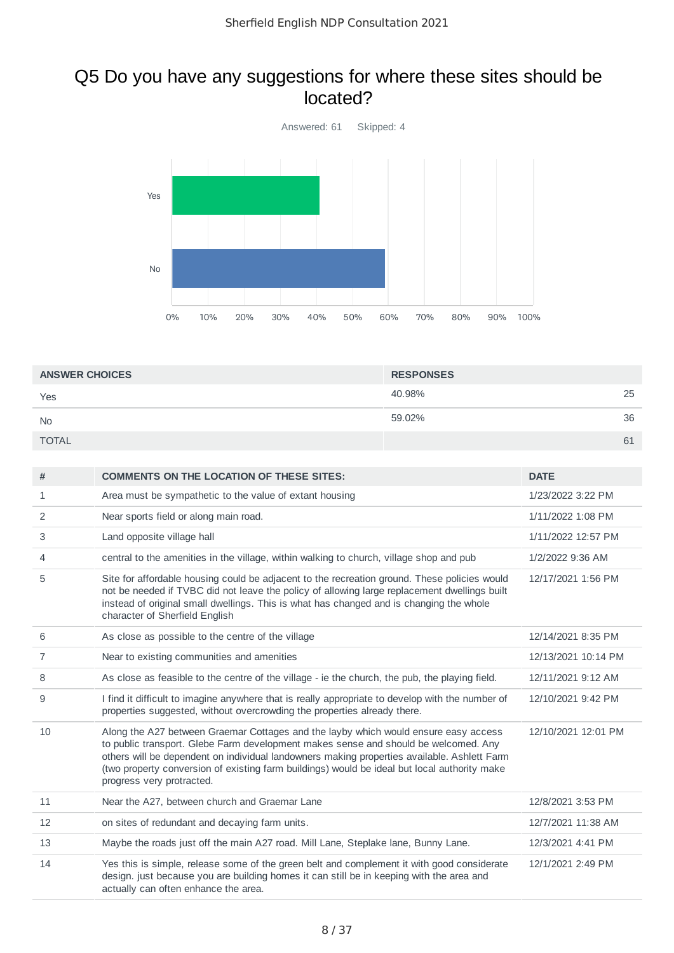## Q5 Do you have any suggestions for where these sites should be located?



| <b>ANSWER CHOICES</b> | <b>RESPONSES</b> |    |
|-----------------------|------------------|----|
| Yes                   | 40.98%           | 25 |
| <b>No</b>             | 59.02%           | 36 |
| <b>TOTAL</b>          |                  | 61 |

| #              | <b>COMMENTS ON THE LOCATION OF THESE SITES:</b>                                                                                                                                                                                                                                                                                                                                                        | <b>DATE</b>         |
|----------------|--------------------------------------------------------------------------------------------------------------------------------------------------------------------------------------------------------------------------------------------------------------------------------------------------------------------------------------------------------------------------------------------------------|---------------------|
| 1              | Area must be sympathetic to the value of extant housing                                                                                                                                                                                                                                                                                                                                                | 1/23/2022 3:22 PM   |
| 2              | Near sports field or along main road.                                                                                                                                                                                                                                                                                                                                                                  | 1/11/2022 1:08 PM   |
| 3              | Land opposite village hall                                                                                                                                                                                                                                                                                                                                                                             | 1/11/2022 12:57 PM  |
| 4              | central to the amenities in the village, within walking to church, village shop and pub                                                                                                                                                                                                                                                                                                                | 1/2/2022 9:36 AM    |
| 5              | Site for affordable housing could be adjacent to the recreation ground. These policies would<br>not be needed if TVBC did not leave the policy of allowing large replacement dwellings built<br>instead of original small dwellings. This is what has changed and is changing the whole<br>character of Sherfield English                                                                              | 12/17/2021 1:56 PM  |
| 6              | As close as possible to the centre of the village                                                                                                                                                                                                                                                                                                                                                      | 12/14/2021 8:35 PM  |
| $\overline{7}$ | Near to existing communities and amenities                                                                                                                                                                                                                                                                                                                                                             | 12/13/2021 10:14 PM |
| 8              | As close as feasible to the centre of the village - ie the church, the pub, the playing field.                                                                                                                                                                                                                                                                                                         | 12/11/2021 9:12 AM  |
| 9              | I find it difficult to imagine anywhere that is really appropriate to develop with the number of<br>properties suggested, without overcrowding the properties already there.                                                                                                                                                                                                                           | 12/10/2021 9:42 PM  |
| 10             | Along the A27 between Graemar Cottages and the layby which would ensure easy access<br>to public transport. Glebe Farm development makes sense and should be welcomed. Any<br>others will be dependent on individual landowners making properties available. Ashlett Farm<br>(two property conversion of existing farm buildings) would be ideal but local authority make<br>progress very protracted. | 12/10/2021 12:01 PM |
| 11             | Near the A27, between church and Graemar Lane                                                                                                                                                                                                                                                                                                                                                          | 12/8/2021 3:53 PM   |
| 12             | on sites of redundant and decaying farm units.                                                                                                                                                                                                                                                                                                                                                         | 12/7/2021 11:38 AM  |
| 13             | Maybe the roads just off the main A27 road. Mill Lane, Steplake lane, Bunny Lane.                                                                                                                                                                                                                                                                                                                      | 12/3/2021 4:41 PM   |
| 14             | Yes this is simple, release some of the green belt and complement it with good considerate<br>design. just because you are building homes it can still be in keeping with the area and<br>actually can often enhance the area.                                                                                                                                                                         | 12/1/2021 2:49 PM   |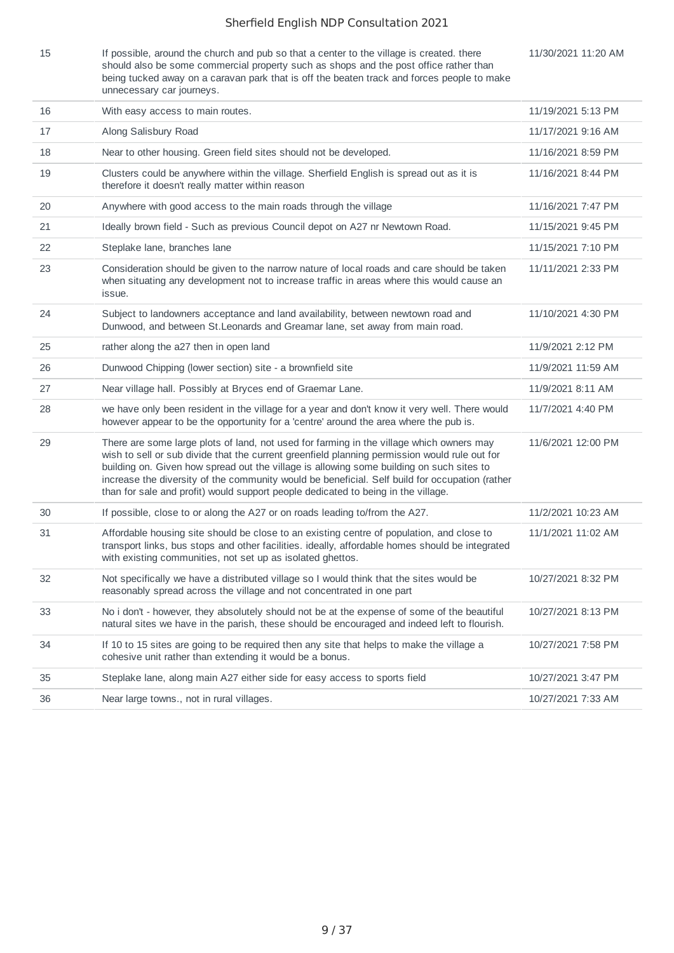11/30/2021 11:20 AM

15 If possible, around the church and pub so that a center to the village is created. there should also be some commercial property such as shops and the post office rather than being tucked away on a caravan park that is off the beaten track and forces people to make unnecessary car journeys.

| 16 | With easy access to main routes.                                                                                                                                                                                                                                                                                                                                                                                                                                             | 11/19/2021 5:13 PM |
|----|------------------------------------------------------------------------------------------------------------------------------------------------------------------------------------------------------------------------------------------------------------------------------------------------------------------------------------------------------------------------------------------------------------------------------------------------------------------------------|--------------------|
| 17 | Along Salisbury Road                                                                                                                                                                                                                                                                                                                                                                                                                                                         | 11/17/2021 9:16 AM |
| 18 | Near to other housing. Green field sites should not be developed.                                                                                                                                                                                                                                                                                                                                                                                                            | 11/16/2021 8:59 PM |
| 19 | Clusters could be anywhere within the village. Sherfield English is spread out as it is<br>therefore it doesn't really matter within reason                                                                                                                                                                                                                                                                                                                                  | 11/16/2021 8:44 PM |
| 20 | Anywhere with good access to the main roads through the village                                                                                                                                                                                                                                                                                                                                                                                                              | 11/16/2021 7:47 PM |
| 21 | Ideally brown field - Such as previous Council depot on A27 nr Newtown Road.                                                                                                                                                                                                                                                                                                                                                                                                 | 11/15/2021 9:45 PM |
| 22 | Steplake lane, branches lane                                                                                                                                                                                                                                                                                                                                                                                                                                                 | 11/15/2021 7:10 PM |
| 23 | Consideration should be given to the narrow nature of local roads and care should be taken<br>when situating any development not to increase traffic in areas where this would cause an<br>issue.                                                                                                                                                                                                                                                                            | 11/11/2021 2:33 PM |
| 24 | Subject to landowners acceptance and land availability, between newtown road and<br>Dunwood, and between St. Leonards and Greamar lane, set away from main road.                                                                                                                                                                                                                                                                                                             | 11/10/2021 4:30 PM |
| 25 | rather along the a27 then in open land                                                                                                                                                                                                                                                                                                                                                                                                                                       | 11/9/2021 2:12 PM  |
| 26 | Dunwood Chipping (lower section) site - a brownfield site                                                                                                                                                                                                                                                                                                                                                                                                                    | 11/9/2021 11:59 AM |
| 27 | Near village hall. Possibly at Bryces end of Graemar Lane.                                                                                                                                                                                                                                                                                                                                                                                                                   | 11/9/2021 8:11 AM  |
| 28 | we have only been resident in the village for a year and don't know it very well. There would<br>however appear to be the opportunity for a 'centre' around the area where the pub is.                                                                                                                                                                                                                                                                                       | 11/7/2021 4:40 PM  |
| 29 | There are some large plots of land, not used for farming in the village which owners may<br>wish to sell or sub divide that the current greenfield planning permission would rule out for<br>building on. Given how spread out the village is allowing some building on such sites to<br>increase the diversity of the community would be beneficial. Self build for occupation (rather<br>than for sale and profit) would support people dedicated to being in the village. | 11/6/2021 12:00 PM |
| 30 | If possible, close to or along the A27 or on roads leading to/from the A27.                                                                                                                                                                                                                                                                                                                                                                                                  | 11/2/2021 10:23 AM |
| 31 | Affordable housing site should be close to an existing centre of population, and close to<br>transport links, bus stops and other facilities. ideally, affordable homes should be integrated<br>with existing communities, not set up as isolated ghettos.                                                                                                                                                                                                                   | 11/1/2021 11:02 AM |
| 32 | Not specifically we have a distributed village so I would think that the sites would be<br>reasonably spread across the village and not concentrated in one part                                                                                                                                                                                                                                                                                                             | 10/27/2021 8:32 PM |
| 33 | No i don't - however, they absolutely should not be at the expense of some of the beautiful<br>natural sites we have in the parish, these should be encouraged and indeed left to flourish.                                                                                                                                                                                                                                                                                  | 10/27/2021 8:13 PM |
| 34 | If 10 to 15 sites are going to be required then any site that helps to make the village a<br>cohesive unit rather than extending it would be a bonus.                                                                                                                                                                                                                                                                                                                        | 10/27/2021 7:58 PM |
| 35 | Steplake lane, along main A27 either side for easy access to sports field                                                                                                                                                                                                                                                                                                                                                                                                    | 10/27/2021 3:47 PM |
| 36 | Near large towns., not in rural villages.                                                                                                                                                                                                                                                                                                                                                                                                                                    | 10/27/2021 7:33 AM |
|    |                                                                                                                                                                                                                                                                                                                                                                                                                                                                              |                    |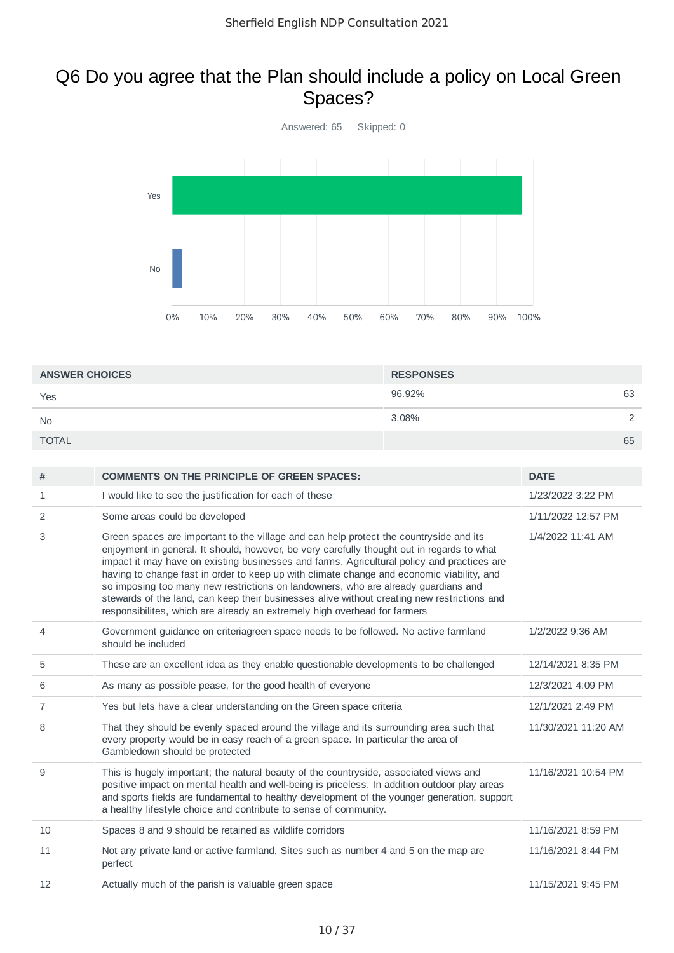## Q6 Do you agree that the Plan should include a policy on Local Green Spaces?



| <b>ANSWER CHOICES</b> | <b>RESPONSES</b> |    |
|-----------------------|------------------|----|
| Yes                   | 96.92%           | 63 |
| <b>No</b>             | 3.08%            |    |
| <b>TOTAL</b>          |                  | 65 |

| #              | <b>COMMENTS ON THE PRINCIPLE OF GREEN SPACES:</b>                                                                                                                                                                                                                                                                                                                                                                                                                                                                                                                                                                                                 | <b>DATE</b>         |
|----------------|---------------------------------------------------------------------------------------------------------------------------------------------------------------------------------------------------------------------------------------------------------------------------------------------------------------------------------------------------------------------------------------------------------------------------------------------------------------------------------------------------------------------------------------------------------------------------------------------------------------------------------------------------|---------------------|
| 1              | I would like to see the justification for each of these                                                                                                                                                                                                                                                                                                                                                                                                                                                                                                                                                                                           | 1/23/2022 3:22 PM   |
| $\overline{2}$ | Some areas could be developed                                                                                                                                                                                                                                                                                                                                                                                                                                                                                                                                                                                                                     | 1/11/2022 12:57 PM  |
| 3              | Green spaces are important to the village and can help protect the countryside and its<br>enjoyment in general. It should, however, be very carefully thought out in regards to what<br>impact it may have on existing businesses and farms. Agricultural policy and practices are<br>having to change fast in order to keep up with climate change and economic viability, and<br>so imposing too many new restrictions on landowners, who are already guardians and<br>stewards of the land, can keep their businesses alive without creating new restrictions and<br>responsibilites, which are already an extremely high overhead for farmers | 1/4/2022 11:41 AM   |
| 4              | Government guidance on criteriagreen space needs to be followed. No active farmland<br>should be included                                                                                                                                                                                                                                                                                                                                                                                                                                                                                                                                         | 1/2/2022 9:36 AM    |
| 5              | These are an excellent idea as they enable questionable developments to be challenged                                                                                                                                                                                                                                                                                                                                                                                                                                                                                                                                                             | 12/14/2021 8:35 PM  |
| 6              | As many as possible pease, for the good health of everyone                                                                                                                                                                                                                                                                                                                                                                                                                                                                                                                                                                                        | 12/3/2021 4:09 PM   |
| 7              | Yes but lets have a clear understanding on the Green space criteria                                                                                                                                                                                                                                                                                                                                                                                                                                                                                                                                                                               | 12/1/2021 2:49 PM   |
| 8              | That they should be evenly spaced around the village and its surrounding area such that<br>every property would be in easy reach of a green space. In particular the area of<br>Gambledown should be protected                                                                                                                                                                                                                                                                                                                                                                                                                                    | 11/30/2021 11:20 AM |
| 9              | This is hugely important; the natural beauty of the countryside, associated views and<br>positive impact on mental health and well-being is priceless. In addition outdoor play areas<br>and sports fields are fundamental to healthy development of the younger generation, support<br>a healthy lifestyle choice and contribute to sense of community.                                                                                                                                                                                                                                                                                          | 11/16/2021 10:54 PM |
| 10             | Spaces 8 and 9 should be retained as wildlife corridors                                                                                                                                                                                                                                                                                                                                                                                                                                                                                                                                                                                           | 11/16/2021 8:59 PM  |
| 11             | Not any private land or active farmland, Sites such as number 4 and 5 on the map are<br>perfect                                                                                                                                                                                                                                                                                                                                                                                                                                                                                                                                                   | 11/16/2021 8:44 PM  |
| 12             | Actually much of the parish is valuable green space                                                                                                                                                                                                                                                                                                                                                                                                                                                                                                                                                                                               | 11/15/2021 9:45 PM  |
|                |                                                                                                                                                                                                                                                                                                                                                                                                                                                                                                                                                                                                                                                   |                     |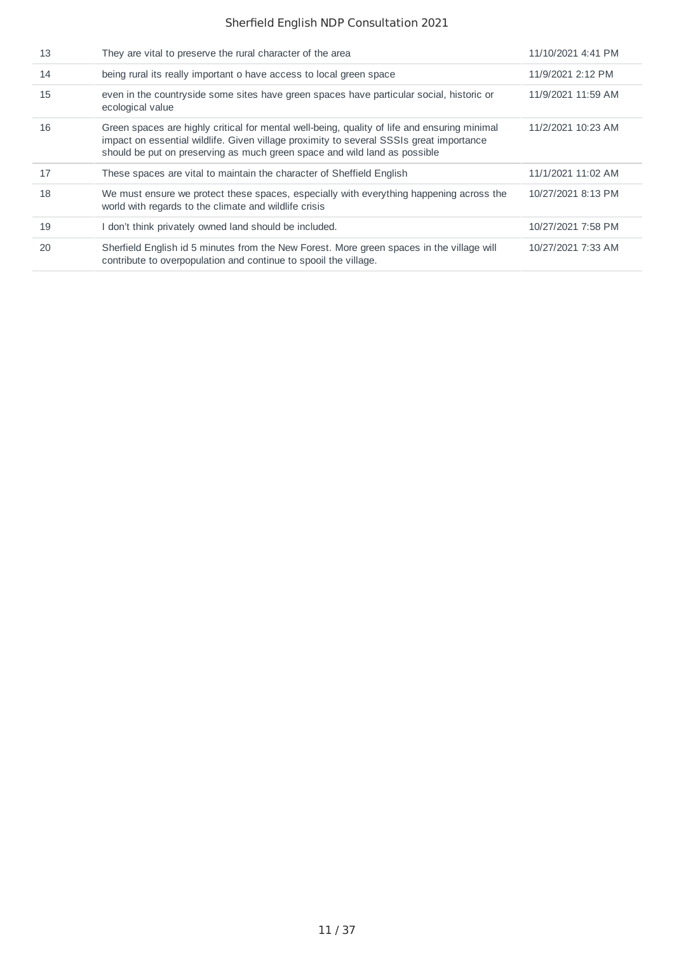| 13 | They are vital to preserve the rural character of the area                                                                                                                                                                                                           | 11/10/2021 4:41 PM |
|----|----------------------------------------------------------------------------------------------------------------------------------------------------------------------------------------------------------------------------------------------------------------------|--------------------|
| 14 | being rural its really important o have access to local green space                                                                                                                                                                                                  | 11/9/2021 2:12 PM  |
| 15 | even in the countryside some sites have green spaces have particular social, historic or<br>ecological value                                                                                                                                                         | 11/9/2021 11:59 AM |
| 16 | Green spaces are highly critical for mental well-being, quality of life and ensuring minimal<br>impact on essential wildlife. Given village proximity to several SSSIs great importance<br>should be put on preserving as much green space and wild land as possible | 11/2/2021 10:23 AM |
| 17 | These spaces are vital to maintain the character of Sheffield English                                                                                                                                                                                                | 11/1/2021 11:02 AM |
| 18 | We must ensure we protect these spaces, especially with everything happening across the<br>world with regards to the climate and wildlife crisis                                                                                                                     | 10/27/2021 8:13 PM |
| 19 | I don't think privately owned land should be included.                                                                                                                                                                                                               | 10/27/2021 7:58 PM |
| 20 | Sherfield English id 5 minutes from the New Forest. More green spaces in the village will<br>contribute to overpopulation and continue to spool the village.                                                                                                         | 10/27/2021 7:33 AM |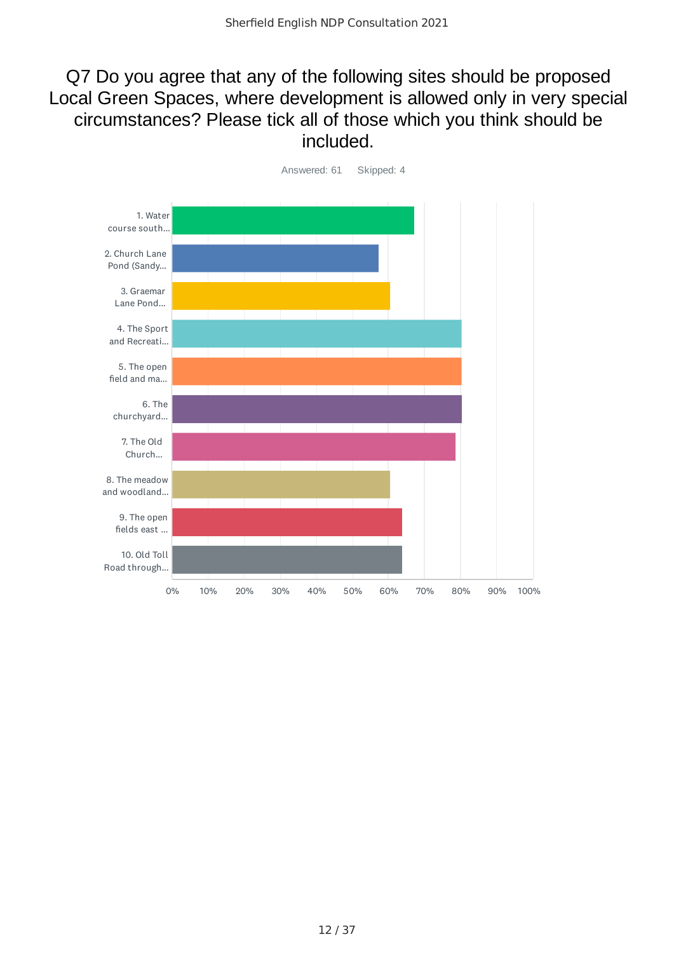## Q7 Do you agree that any of the following sites should be proposed Local Green Spaces, where development is allowed only in very special circumstances? Please tick all of those which you think should be included.

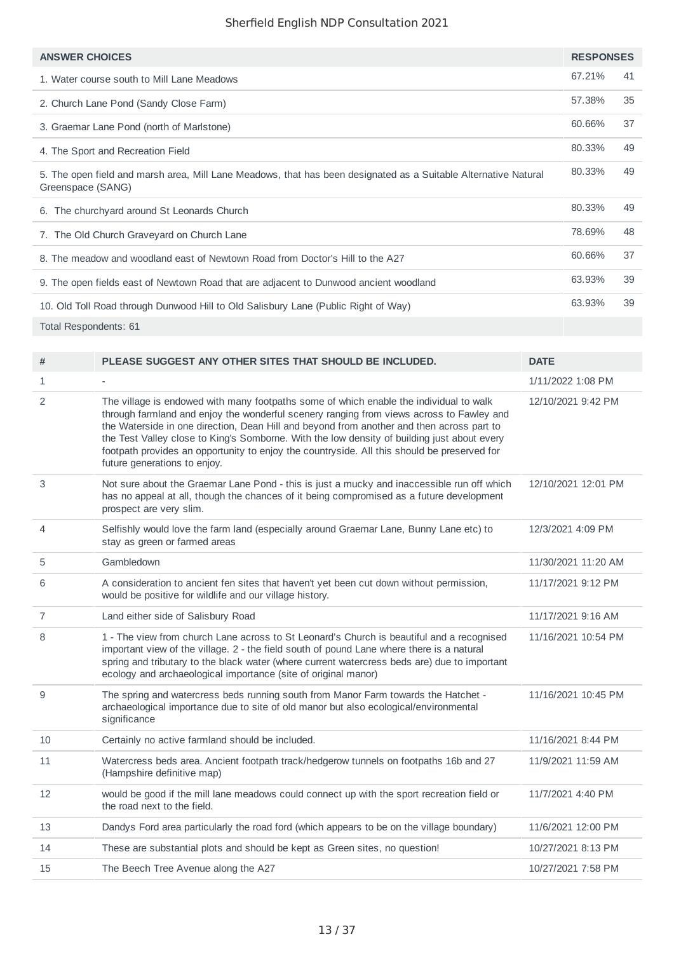| <b>ANSWER CHOICES</b>                                                                                                                | <b>RESPONSES</b> |    |
|--------------------------------------------------------------------------------------------------------------------------------------|------------------|----|
| 1. Water course south to Mill Lane Meadows                                                                                           | 67.21%           | 41 |
| 2. Church Lane Pond (Sandy Close Farm)                                                                                               | 57.38%           | 35 |
| 3. Graemar Lane Pond (north of Marlstone)                                                                                            | 60.66%           | 37 |
| 4. The Sport and Recreation Field                                                                                                    | 80.33%           | 49 |
| 5. The open field and marsh area, Mill Lane Meadows, that has been designated as a Suitable Alternative Natural<br>Greenspace (SANG) | 80.33%           | 49 |
| The churchyard around St Leonards Church<br>6.                                                                                       | 80.33%           | 49 |
| 7. The Old Church Graveyard on Church Lane                                                                                           | 78.69%           | 48 |
| 8. The meadow and woodland east of Newtown Road from Doctor's Hill to the A27                                                        | 60.66%           | 37 |
| 9. The open fields east of Newtown Road that are adjacent to Dunwood ancient woodland                                                | 63.93%           | 39 |
| 10. Old Toll Road through Dunwood Hill to Old Salisbury Lane (Public Right of Way)                                                   | 63.93%           | 39 |
| Total Respondents: 61                                                                                                                |                  |    |

| #              | PLEASE SUGGEST ANY OTHER SITES THAT SHOULD BE INCLUDED.                                                                                                                                                                                                                                                                                                                                                                                                                                                       | <b>DATE</b>         |
|----------------|---------------------------------------------------------------------------------------------------------------------------------------------------------------------------------------------------------------------------------------------------------------------------------------------------------------------------------------------------------------------------------------------------------------------------------------------------------------------------------------------------------------|---------------------|
| 1              |                                                                                                                                                                                                                                                                                                                                                                                                                                                                                                               | 1/11/2022 1:08 PM   |
| 2              | The village is endowed with many footpaths some of which enable the individual to walk<br>through farmland and enjoy the wonderful scenery ranging from views across to Fawley and<br>the Waterside in one direction, Dean Hill and beyond from another and then across part to<br>the Test Valley close to King's Somborne. With the low density of building just about every<br>footpath provides an opportunity to enjoy the countryside. All this should be preserved for<br>future generations to enjoy. | 12/10/2021 9:42 PM  |
| 3              | Not sure about the Graemar Lane Pond - this is just a mucky and inaccessible run off which<br>has no appeal at all, though the chances of it being compromised as a future development<br>prospect are very slim.                                                                                                                                                                                                                                                                                             | 12/10/2021 12:01 PM |
| 4              | Selfishly would love the farm land (especially around Graemar Lane, Bunny Lane etc) to<br>stay as green or farmed areas                                                                                                                                                                                                                                                                                                                                                                                       | 12/3/2021 4:09 PM   |
| 5              | Gambledown                                                                                                                                                                                                                                                                                                                                                                                                                                                                                                    | 11/30/2021 11:20 AM |
| 6              | A consideration to ancient fen sites that haven't yet been cut down without permission,<br>would be positive for wildlife and our village history.                                                                                                                                                                                                                                                                                                                                                            | 11/17/2021 9:12 PM  |
| $\overline{7}$ | Land either side of Salisbury Road                                                                                                                                                                                                                                                                                                                                                                                                                                                                            | 11/17/2021 9:16 AM  |
| 8              | 1 - The view from church Lane across to St Leonard's Church is beautiful and a recognised<br>important view of the village. 2 - the field south of pound Lane where there is a natural<br>spring and tributary to the black water (where current watercress beds are) due to important<br>ecology and archaeological importance (site of original manor)                                                                                                                                                      | 11/16/2021 10:54 PM |
| 9              | The spring and watercress beds running south from Manor Farm towards the Hatchet -<br>archaeological importance due to site of old manor but also ecological/environmental<br>significance                                                                                                                                                                                                                                                                                                                    | 11/16/2021 10:45 PM |
| 10             | Certainly no active farmland should be included.                                                                                                                                                                                                                                                                                                                                                                                                                                                              | 11/16/2021 8:44 PM  |
| 11             | Watercress beds area. Ancient footpath track/hedgerow tunnels on footpaths 16b and 27<br>(Hampshire definitive map)                                                                                                                                                                                                                                                                                                                                                                                           | 11/9/2021 11:59 AM  |
| 12             | would be good if the mill lane meadows could connect up with the sport recreation field or<br>the road next to the field.                                                                                                                                                                                                                                                                                                                                                                                     | 11/7/2021 4:40 PM   |
| 13             | Dandys Ford area particularly the road ford (which appears to be on the village boundary)                                                                                                                                                                                                                                                                                                                                                                                                                     | 11/6/2021 12:00 PM  |
| 14             | These are substantial plots and should be kept as Green sites, no question!                                                                                                                                                                                                                                                                                                                                                                                                                                   | 10/27/2021 8:13 PM  |
| 15             | The Beech Tree Avenue along the A27                                                                                                                                                                                                                                                                                                                                                                                                                                                                           | 10/27/2021 7:58 PM  |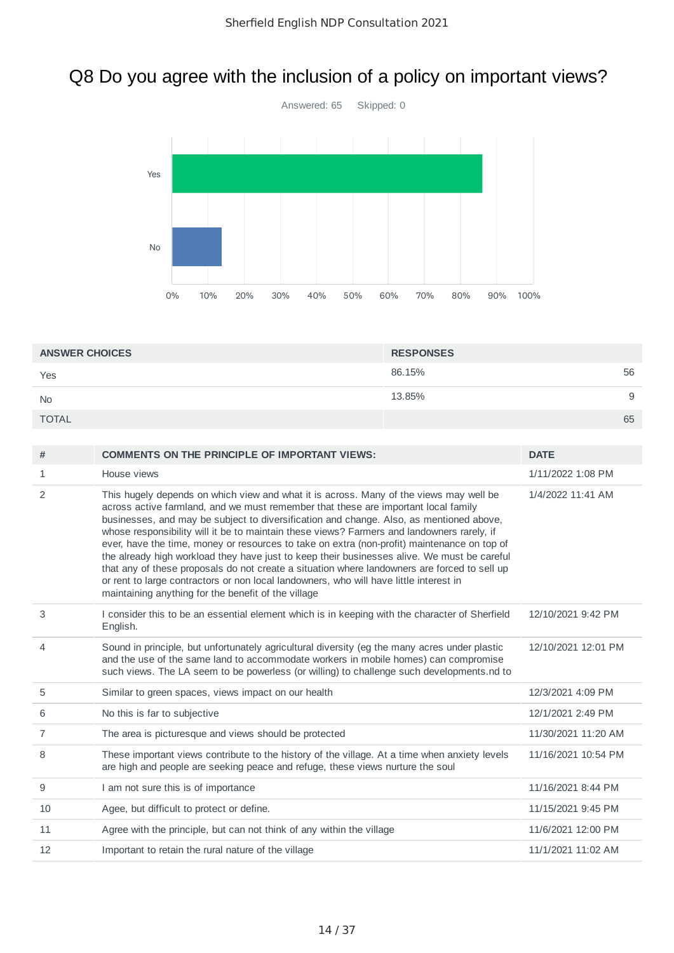## Q8 Do you agree with the inclusion of a policy on important views?



| <b>ANSWER CHOICES</b> | <b>RESPONSES</b> |    |
|-----------------------|------------------|----|
| Yes                   | 86.15%           | 56 |
| <b>No</b>             | 13.85%           | 9  |
| <b>TOTAL</b>          | 65               |    |

| #              | <b>COMMENTS ON THE PRINCIPLE OF IMPORTANT VIEWS:</b>                                                                                                                                                                                                                                                                                                                                                                                                                                                                                                                                                                                                                                                                                                                                                                 | <b>DATE</b>         |
|----------------|----------------------------------------------------------------------------------------------------------------------------------------------------------------------------------------------------------------------------------------------------------------------------------------------------------------------------------------------------------------------------------------------------------------------------------------------------------------------------------------------------------------------------------------------------------------------------------------------------------------------------------------------------------------------------------------------------------------------------------------------------------------------------------------------------------------------|---------------------|
| $\mathbf{1}$   | House views                                                                                                                                                                                                                                                                                                                                                                                                                                                                                                                                                                                                                                                                                                                                                                                                          | 1/11/2022 1:08 PM   |
| 2              | This hugely depends on which view and what it is across. Many of the views may well be<br>across active farmland, and we must remember that these are important local family<br>businesses, and may be subject to diversification and change. Also, as mentioned above,<br>whose responsibility will it be to maintain these views? Farmers and landowners rarely, if<br>ever, have the time, money or resources to take on extra (non-profit) maintenance on top of<br>the already high workload they have just to keep their businesses alive. We must be careful<br>that any of these proposals do not create a situation where landowners are forced to sell up<br>or rent to large contractors or non local landowners, who will have little interest in<br>maintaining anything for the benefit of the village | 1/4/2022 11:41 AM   |
| 3              | I consider this to be an essential element which is in keeping with the character of Sherfield<br>English.                                                                                                                                                                                                                                                                                                                                                                                                                                                                                                                                                                                                                                                                                                           | 12/10/2021 9:42 PM  |
| 4              | Sound in principle, but unfortunately agricultural diversity (eg the many acres under plastic<br>and the use of the same land to accommodate workers in mobile homes) can compromise<br>such views. The LA seem to be powerless (or willing) to challenge such developments.nd to                                                                                                                                                                                                                                                                                                                                                                                                                                                                                                                                    | 12/10/2021 12:01 PM |
| 5              | Similar to green spaces, views impact on our health                                                                                                                                                                                                                                                                                                                                                                                                                                                                                                                                                                                                                                                                                                                                                                  | 12/3/2021 4:09 PM   |
| 6              | No this is far to subjective                                                                                                                                                                                                                                                                                                                                                                                                                                                                                                                                                                                                                                                                                                                                                                                         | 12/1/2021 2:49 PM   |
| $\overline{7}$ | The area is picturesque and views should be protected                                                                                                                                                                                                                                                                                                                                                                                                                                                                                                                                                                                                                                                                                                                                                                | 11/30/2021 11:20 AM |
| 8              | These important views contribute to the history of the village. At a time when anxiety levels<br>are high and people are seeking peace and refuge, these views nurture the soul                                                                                                                                                                                                                                                                                                                                                                                                                                                                                                                                                                                                                                      | 11/16/2021 10:54 PM |
| 9              | I am not sure this is of importance                                                                                                                                                                                                                                                                                                                                                                                                                                                                                                                                                                                                                                                                                                                                                                                  | 11/16/2021 8:44 PM  |
| 10             | Agee, but difficult to protect or define.                                                                                                                                                                                                                                                                                                                                                                                                                                                                                                                                                                                                                                                                                                                                                                            | 11/15/2021 9:45 PM  |
| 11             | Agree with the principle, but can not think of any within the village                                                                                                                                                                                                                                                                                                                                                                                                                                                                                                                                                                                                                                                                                                                                                | 11/6/2021 12:00 PM  |
| 12             | Important to retain the rural nature of the village                                                                                                                                                                                                                                                                                                                                                                                                                                                                                                                                                                                                                                                                                                                                                                  | 11/1/2021 11:02 AM  |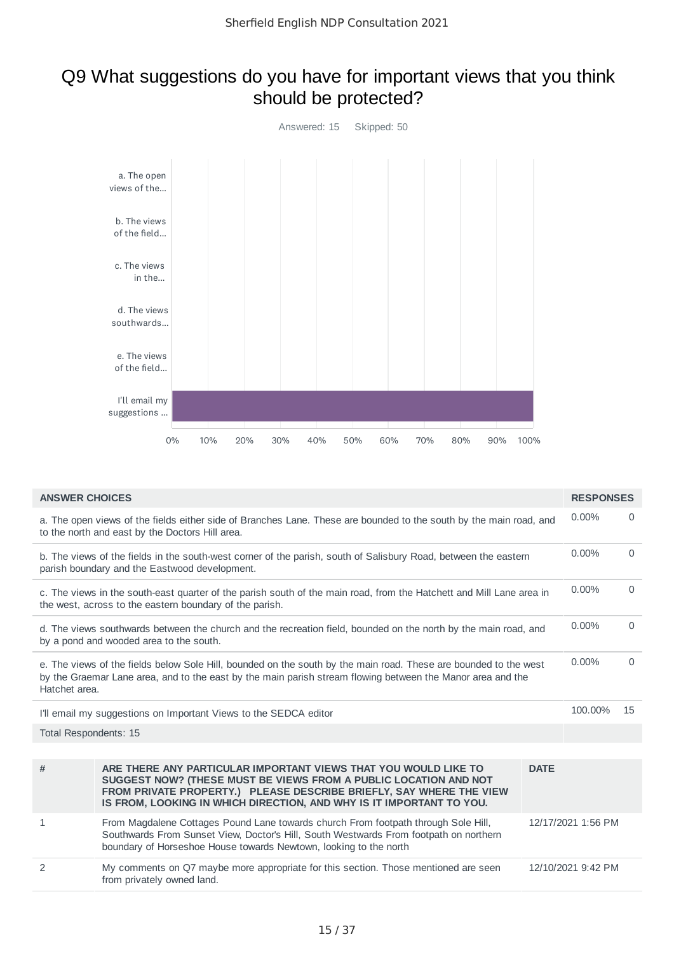## Q9 What suggestions do you have for important views that you think should be protected?



| <b>ANSWER CHOICES</b>                                                                                                                                                                                                                           |                                                                                                                                                                                                                                                                                    |                    | <b>RESPONSES</b>   |              |
|-------------------------------------------------------------------------------------------------------------------------------------------------------------------------------------------------------------------------------------------------|------------------------------------------------------------------------------------------------------------------------------------------------------------------------------------------------------------------------------------------------------------------------------------|--------------------|--------------------|--------------|
| a. The open views of the fields either side of Branches Lane. These are bounded to the south by the main road, and<br>to the north and east by the Doctors Hill area.                                                                           |                                                                                                                                                                                                                                                                                    |                    | $0.00\%$           | 0            |
|                                                                                                                                                                                                                                                 | b. The views of the fields in the south-west corner of the parish, south of Salisbury Road, between the eastern<br>parish boundary and the Eastwood development.                                                                                                                   |                    | $0.00\%$           | $\Omega$     |
|                                                                                                                                                                                                                                                 | c. The views in the south-east quarter of the parish south of the main road, from the Hatchett and Mill Lane area in<br>the west, across to the eastern boundary of the parish.                                                                                                    |                    | $0.00\%$           | $\Omega$     |
| d. The views southwards between the church and the recreation field, bounded on the north by the main road, and<br>by a pond and wooded area to the south.                                                                                      |                                                                                                                                                                                                                                                                                    |                    | $0.00\%$           | $\mathbf{0}$ |
| e. The views of the fields below Sole Hill, bounded on the south by the main road. These are bounded to the west<br>by the Graemar Lane area, and to the east by the main parish stream flowing between the Manor area and the<br>Hatchet area. |                                                                                                                                                                                                                                                                                    |                    | $0.00\%$           | $\Omega$     |
| I'll email my suggestions on Important Views to the SEDCA editor                                                                                                                                                                                |                                                                                                                                                                                                                                                                                    |                    | 100.00%            | 15           |
| Total Respondents: 15                                                                                                                                                                                                                           |                                                                                                                                                                                                                                                                                    |                    |                    |              |
|                                                                                                                                                                                                                                                 |                                                                                                                                                                                                                                                                                    |                    |                    |              |
| #                                                                                                                                                                                                                                               | ARE THERE ANY PARTICULAR IMPORTANT VIEWS THAT YOU WOULD LIKE TO<br>SUGGEST NOW? (THESE MUST BE VIEWS FROM A PUBLIC LOCATION AND NOT<br>FROM PRIVATE PROPERTY.) PLEASE DESCRIBE BRIEFLY, SAY WHERE THE VIEW<br>IS FROM, LOOKING IN WHICH DIRECTION, AND WHY IS IT IMPORTANT TO YOU. | <b>DATE</b>        |                    |              |
| 1                                                                                                                                                                                                                                               | From Magdalene Cottages Pound Lane towards church From footpath through Sole Hill,<br>Southwards From Sunset View, Doctor's Hill, South Westwards From footpath on northern<br>boundary of Horseshoe House towards Newtown, looking to the north                                   | 12/17/2021 1:56 PM |                    |              |
| 2                                                                                                                                                                                                                                               | My comments on Q7 maybe more appropriate for this section. Those mentioned are seen<br>from privately owned land.                                                                                                                                                                  |                    | 12/10/2021 9:42 PM |              |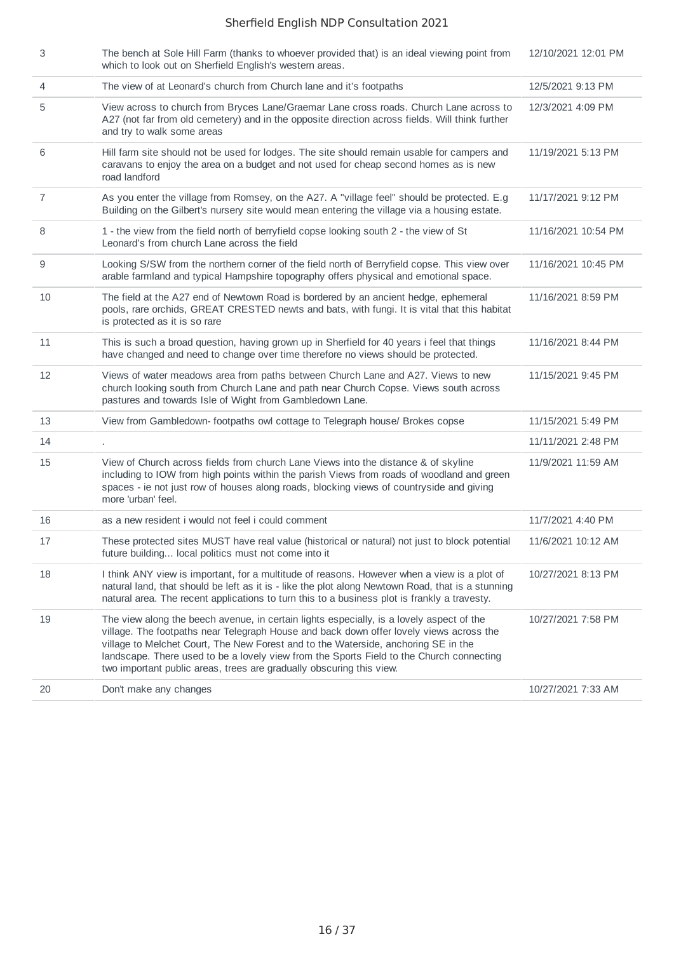| 3              | The bench at Sole Hill Farm (thanks to whoever provided that) is an ideal viewing point from<br>which to look out on Sherfield English's western areas.                                                                                                                                                                                                                                                                                       | 12/10/2021 12:01 PM |
|----------------|-----------------------------------------------------------------------------------------------------------------------------------------------------------------------------------------------------------------------------------------------------------------------------------------------------------------------------------------------------------------------------------------------------------------------------------------------|---------------------|
| 4              | The view of at Leonard's church from Church lane and it's footpaths                                                                                                                                                                                                                                                                                                                                                                           | 12/5/2021 9:13 PM   |
| 5              | View across to church from Bryces Lane/Graemar Lane cross roads. Church Lane across to<br>A27 (not far from old cemetery) and in the opposite direction across fields. Will think further<br>and try to walk some areas                                                                                                                                                                                                                       | 12/3/2021 4:09 PM   |
| 6              | Hill farm site should not be used for lodges. The site should remain usable for campers and<br>caravans to enjoy the area on a budget and not used for cheap second homes as is new<br>road landford                                                                                                                                                                                                                                          | 11/19/2021 5:13 PM  |
| $\overline{7}$ | As you enter the village from Romsey, on the A27. A "village feel" should be protected. E.g<br>Building on the Gilbert's nursery site would mean entering the village via a housing estate.                                                                                                                                                                                                                                                   | 11/17/2021 9:12 PM  |
| 8              | 1 - the view from the field north of berryfield copse looking south 2 - the view of St<br>Leonard's from church Lane across the field                                                                                                                                                                                                                                                                                                         | 11/16/2021 10:54 PM |
| 9              | Looking S/SW from the northern corner of the field north of Berryfield copse. This view over<br>arable farmland and typical Hampshire topography offers physical and emotional space.                                                                                                                                                                                                                                                         | 11/16/2021 10:45 PM |
| 10             | The field at the A27 end of Newtown Road is bordered by an ancient hedge, ephemeral<br>pools, rare orchids, GREAT CRESTED newts and bats, with fungi. It is vital that this habitat<br>is protected as it is so rare                                                                                                                                                                                                                          | 11/16/2021 8:59 PM  |
| 11             | This is such a broad question, having grown up in Sherfield for 40 years i feel that things<br>have changed and need to change over time therefore no views should be protected.                                                                                                                                                                                                                                                              | 11/16/2021 8:44 PM  |
| 12             | Views of water meadows area from paths between Church Lane and A27. Views to new<br>church looking south from Church Lane and path near Church Copse. Views south across<br>pastures and towards Isle of Wight from Gambledown Lane.                                                                                                                                                                                                          | 11/15/2021 9:45 PM  |
| 13             | View from Gambledown- footpaths owl cottage to Telegraph house/ Brokes copse                                                                                                                                                                                                                                                                                                                                                                  | 11/15/2021 5:49 PM  |
| 14             |                                                                                                                                                                                                                                                                                                                                                                                                                                               | 11/11/2021 2:48 PM  |
| 15             | View of Church across fields from church Lane Views into the distance & of skyline<br>including to IOW from high points within the parish Views from roads of woodland and green<br>spaces - ie not just row of houses along roads, blocking views of countryside and giving<br>more 'urban' feel.                                                                                                                                            | 11/9/2021 11:59 AM  |
| 16             | as a new resident i would not feel i could comment                                                                                                                                                                                                                                                                                                                                                                                            | 11/7/2021 4:40 PM   |
| 17             | These protected sites MUST have real value (historical or natural) not just to block potential<br>future building local politics must not come into it                                                                                                                                                                                                                                                                                        | 11/6/2021 10:12 AM  |
| 18             | I think ANY view is important, for a multitude of reasons. However when a view is a plot of<br>natural land, that should be left as it is - like the plot along Newtown Road, that is a stunning<br>natural area. The recent applications to turn this to a business plot is frankly a travesty.                                                                                                                                              | 10/27/2021 8:13 PM  |
| 19             | The view along the beech avenue, in certain lights especially, is a lovely aspect of the<br>village. The footpaths near Telegraph House and back down offer lovely views across the<br>village to Melchet Court, The New Forest and to the Waterside, anchoring SE in the<br>landscape. There used to be a lovely view from the Sports Field to the Church connecting<br>two important public areas, trees are gradually obscuring this view. | 10/27/2021 7:58 PM  |
| 20             | Don't make any changes                                                                                                                                                                                                                                                                                                                                                                                                                        | 10/27/2021 7:33 AM  |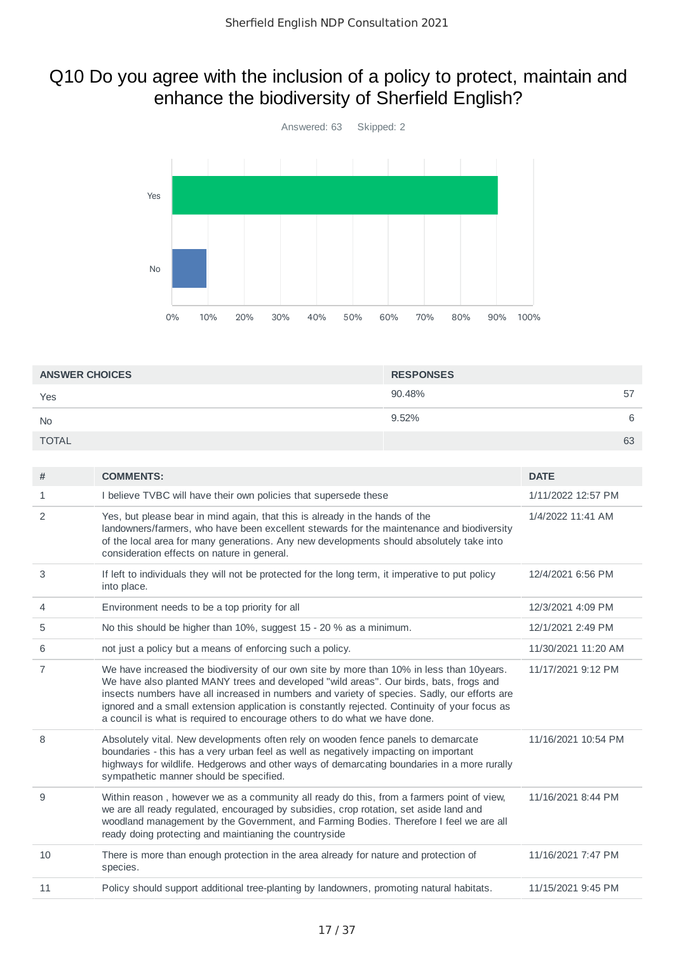## Q10 Do you agree with the inclusion of a policy to protect, maintain and enhance the biodiversity of Sherfield English?



| <b>ANSWER CHOICES</b> | <b>RESPONSES</b> |    |
|-----------------------|------------------|----|
| Yes                   | 90.48%           | 57 |
| <b>No</b>             | 9.52%            | h  |
| <b>TOTAL</b>          |                  | 63 |

| #  | <b>COMMENTS:</b>                                                                                                                                                                                                                                                                                                                                                                                                                                                   | <b>DATE</b>         |
|----|--------------------------------------------------------------------------------------------------------------------------------------------------------------------------------------------------------------------------------------------------------------------------------------------------------------------------------------------------------------------------------------------------------------------------------------------------------------------|---------------------|
| 1  | I believe TVBC will have their own policies that supersede these                                                                                                                                                                                                                                                                                                                                                                                                   | 1/11/2022 12:57 PM  |
| 2  | Yes, but please bear in mind again, that this is already in the hands of the<br>landowners/farmers, who have been excellent stewards for the maintenance and biodiversity<br>of the local area for many generations. Any new developments should absolutely take into<br>consideration effects on nature in general.                                                                                                                                               | 1/4/2022 11:41 AM   |
| 3  | If left to individuals they will not be protected for the long term, it imperative to put policy<br>into place.                                                                                                                                                                                                                                                                                                                                                    | 12/4/2021 6:56 PM   |
| 4  | Environment needs to be a top priority for all                                                                                                                                                                                                                                                                                                                                                                                                                     | 12/3/2021 4:09 PM   |
| 5  | No this should be higher than 10%, suggest 15 - 20 % as a minimum.                                                                                                                                                                                                                                                                                                                                                                                                 | 12/1/2021 2:49 PM   |
| 6  | not just a policy but a means of enforcing such a policy.                                                                                                                                                                                                                                                                                                                                                                                                          | 11/30/2021 11:20 AM |
| 7  | We have increased the biodiversity of our own site by more than 10% in less than 10years.<br>We have also planted MANY trees and developed "wild areas". Our birds, bats, frogs and<br>insects numbers have all increased in numbers and variety of species. Sadly, our efforts are<br>ignored and a small extension application is constantly rejected. Continuity of your focus as<br>a council is what is required to encourage others to do what we have done. | 11/17/2021 9:12 PM  |
| 8  | Absolutely vital. New developments often rely on wooden fence panels to demarcate<br>boundaries - this has a very urban feel as well as negatively impacting on important<br>highways for wildlife. Hedgerows and other ways of demarcating boundaries in a more rurally<br>sympathetic manner should be specified.                                                                                                                                                | 11/16/2021 10:54 PM |
| 9  | Within reason, however we as a community all ready do this, from a farmers point of view,<br>we are all ready regulated, encouraged by subsidies, crop rotation, set aside land and<br>woodland management by the Government, and Farming Bodies. Therefore I feel we are all<br>ready doing protecting and maintianing the countryside                                                                                                                            | 11/16/2021 8:44 PM  |
| 10 | There is more than enough protection in the area already for nature and protection of<br>species.                                                                                                                                                                                                                                                                                                                                                                  | 11/16/2021 7:47 PM  |
| 11 | Policy should support additional tree-planting by landowners, promoting natural habitats.                                                                                                                                                                                                                                                                                                                                                                          | 11/15/2021 9:45 PM  |
|    |                                                                                                                                                                                                                                                                                                                                                                                                                                                                    |                     |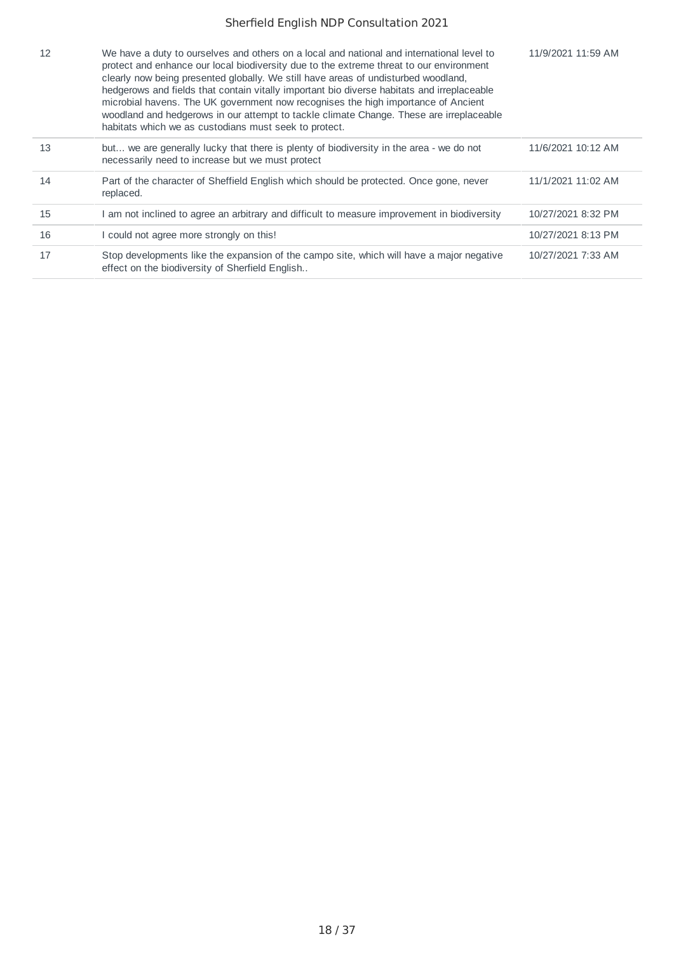| 12 | We have a duty to ourselves and others on a local and national and international level to<br>protect and enhance our local biodiversity due to the extreme threat to our environment<br>clearly now being presented globally. We still have areas of undisturbed woodland,<br>hedgerows and fields that contain vitally important bio diverse habitats and irreplaceable<br>microbial havens. The UK government now recognises the high importance of Ancient<br>woodland and hedgerows in our attempt to tackle climate Change. These are irreplaceable<br>habitats which we as custodians must seek to protect. | 11/9/2021 11:59 AM |
|----|-------------------------------------------------------------------------------------------------------------------------------------------------------------------------------------------------------------------------------------------------------------------------------------------------------------------------------------------------------------------------------------------------------------------------------------------------------------------------------------------------------------------------------------------------------------------------------------------------------------------|--------------------|
| 13 | but we are generally lucky that there is plenty of biodiversity in the area - we do not<br>necessarily need to increase but we must protect                                                                                                                                                                                                                                                                                                                                                                                                                                                                       | 11/6/2021 10:12 AM |
| 14 | Part of the character of Sheffield English which should be protected. Once gone, never<br>replaced.                                                                                                                                                                                                                                                                                                                                                                                                                                                                                                               | 11/1/2021 11:02 AM |
| 15 | I am not inclined to agree an arbitrary and difficult to measure improvement in biodiversity                                                                                                                                                                                                                                                                                                                                                                                                                                                                                                                      | 10/27/2021 8:32 PM |
| 16 | I could not agree more strongly on this!                                                                                                                                                                                                                                                                                                                                                                                                                                                                                                                                                                          | 10/27/2021 8:13 PM |
| 17 | Stop developments like the expansion of the campo site, which will have a major negative<br>effect on the biodiversity of Sherfield English                                                                                                                                                                                                                                                                                                                                                                                                                                                                       | 10/27/2021 7:33 AM |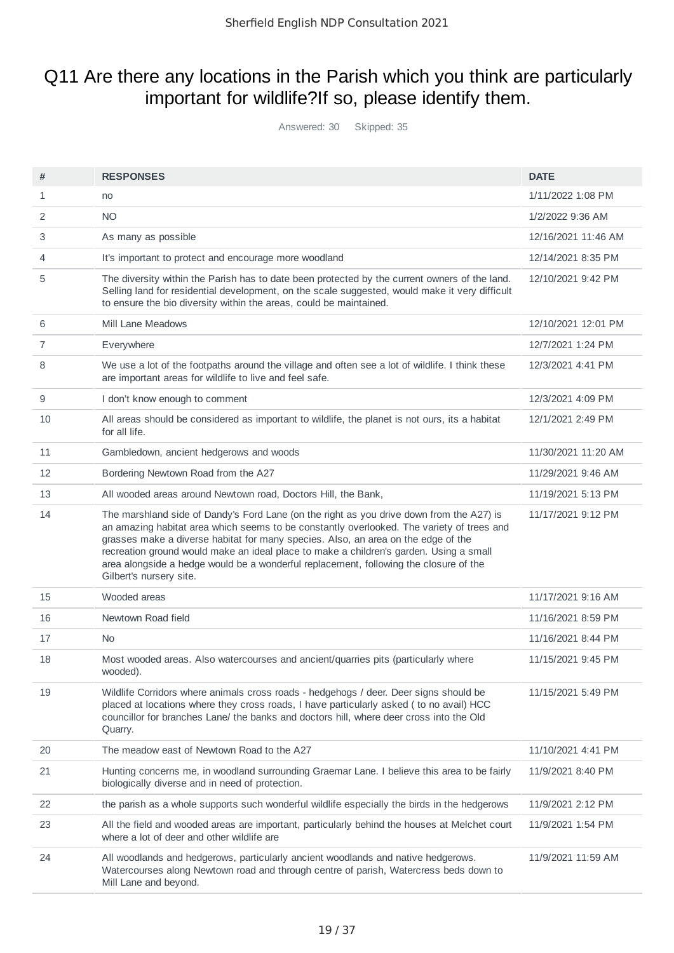## Q11 Are there any locations in the Parish which you think are particularly important for wildlife?If so, please identify them.

Answered: 30 Skipped: 35

| #  | <b>RESPONSES</b>                                                                                                                                                                                                                                                                                                                                                                                                                                                                         | <b>DATE</b>         |
|----|------------------------------------------------------------------------------------------------------------------------------------------------------------------------------------------------------------------------------------------------------------------------------------------------------------------------------------------------------------------------------------------------------------------------------------------------------------------------------------------|---------------------|
| 1  | no                                                                                                                                                                                                                                                                                                                                                                                                                                                                                       | 1/11/2022 1:08 PM   |
| 2  | <b>NO</b>                                                                                                                                                                                                                                                                                                                                                                                                                                                                                | 1/2/2022 9:36 AM    |
| 3  | As many as possible                                                                                                                                                                                                                                                                                                                                                                                                                                                                      | 12/16/2021 11:46 AM |
| 4  | It's important to protect and encourage more woodland                                                                                                                                                                                                                                                                                                                                                                                                                                    | 12/14/2021 8:35 PM  |
| 5  | The diversity within the Parish has to date been protected by the current owners of the land.<br>Selling land for residential development, on the scale suggested, would make it very difficult<br>to ensure the bio diversity within the areas, could be maintained.                                                                                                                                                                                                                    | 12/10/2021 9:42 PM  |
| 6  | Mill Lane Meadows                                                                                                                                                                                                                                                                                                                                                                                                                                                                        | 12/10/2021 12:01 PM |
| 7  | Everywhere                                                                                                                                                                                                                                                                                                                                                                                                                                                                               | 12/7/2021 1:24 PM   |
| 8  | We use a lot of the footpaths around the village and often see a lot of wildlife. I think these<br>are important areas for wildlife to live and feel safe.                                                                                                                                                                                                                                                                                                                               | 12/3/2021 4:41 PM   |
| 9  | I don't know enough to comment                                                                                                                                                                                                                                                                                                                                                                                                                                                           | 12/3/2021 4:09 PM   |
| 10 | All areas should be considered as important to wildlife, the planet is not ours, its a habitat<br>for all life.                                                                                                                                                                                                                                                                                                                                                                          | 12/1/2021 2:49 PM   |
| 11 | Gambledown, ancient hedgerows and woods                                                                                                                                                                                                                                                                                                                                                                                                                                                  | 11/30/2021 11:20 AM |
| 12 | Bordering Newtown Road from the A27                                                                                                                                                                                                                                                                                                                                                                                                                                                      | 11/29/2021 9:46 AM  |
| 13 | All wooded areas around Newtown road, Doctors Hill, the Bank,                                                                                                                                                                                                                                                                                                                                                                                                                            | 11/19/2021 5:13 PM  |
| 14 | The marshland side of Dandy's Ford Lane (on the right as you drive down from the A27) is<br>an amazing habitat area which seems to be constantly overlooked. The variety of trees and<br>grasses make a diverse habitat for many species. Also, an area on the edge of the<br>recreation ground would make an ideal place to make a children's garden. Using a small<br>area alongside a hedge would be a wonderful replacement, following the closure of the<br>Gilbert's nursery site. | 11/17/2021 9:12 PM  |
| 15 | Wooded areas                                                                                                                                                                                                                                                                                                                                                                                                                                                                             | 11/17/2021 9:16 AM  |
| 16 | Newtown Road field                                                                                                                                                                                                                                                                                                                                                                                                                                                                       | 11/16/2021 8:59 PM  |
| 17 | No                                                                                                                                                                                                                                                                                                                                                                                                                                                                                       | 11/16/2021 8:44 PM  |
| 18 | Most wooded areas. Also watercourses and ancient/quarries pits (particularly where<br>wooded).                                                                                                                                                                                                                                                                                                                                                                                           | 11/15/2021 9:45 PM  |
| 19 | Wildlife Corridors where animals cross roads - hedgehogs / deer. Deer signs should be<br>placed at locations where they cross roads, I have particularly asked (to no avail) HCC<br>councillor for branches Lane/ the banks and doctors hill, where deer cross into the Old<br>Quarry.                                                                                                                                                                                                   | 11/15/2021 5:49 PM  |
| 20 | The meadow east of Newtown Road to the A27                                                                                                                                                                                                                                                                                                                                                                                                                                               | 11/10/2021 4:41 PM  |
| 21 | Hunting concerns me, in woodland surrounding Graemar Lane. I believe this area to be fairly<br>biologically diverse and in need of protection.                                                                                                                                                                                                                                                                                                                                           | 11/9/2021 8:40 PM   |
| 22 | the parish as a whole supports such wonderful wildlife especially the birds in the hedgerows                                                                                                                                                                                                                                                                                                                                                                                             | 11/9/2021 2:12 PM   |
| 23 | All the field and wooded areas are important, particularly behind the houses at Melchet court<br>where a lot of deer and other wildlife are                                                                                                                                                                                                                                                                                                                                              | 11/9/2021 1:54 PM   |
| 24 | All woodlands and hedgerows, particularly ancient woodlands and native hedgerows.<br>Watercourses along Newtown road and through centre of parish, Watercress beds down to<br>Mill Lane and beyond.                                                                                                                                                                                                                                                                                      | 11/9/2021 11:59 AM  |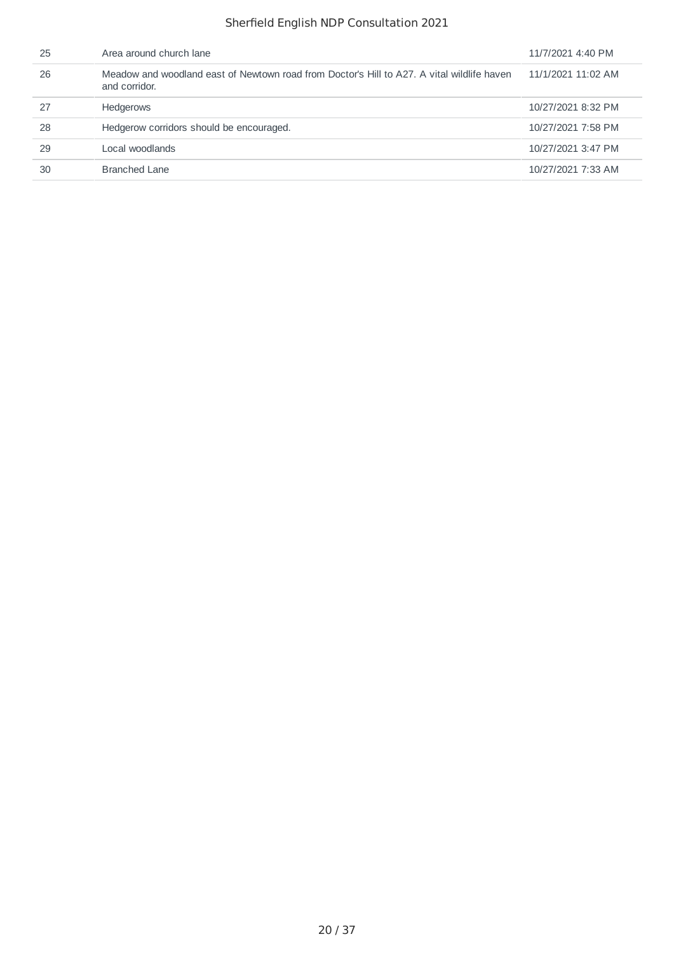| 25 | Area around church lane                                                                                     | 11/7/2021 4:40 PM  |
|----|-------------------------------------------------------------------------------------------------------------|--------------------|
| 26 | Meadow and woodland east of Newtown road from Doctor's Hill to A27. A vital wildlife haven<br>and corridor. | 11/1/2021 11:02 AM |
| 27 | <b>Hedgerows</b>                                                                                            | 10/27/2021 8:32 PM |
| 28 | Hedgerow corridors should be encouraged.                                                                    | 10/27/2021 7:58 PM |
| 29 | Local woodlands                                                                                             | 10/27/2021 3:47 PM |
| 30 | <b>Branched Lane</b>                                                                                        | 10/27/2021 7:33 AM |
|    |                                                                                                             |                    |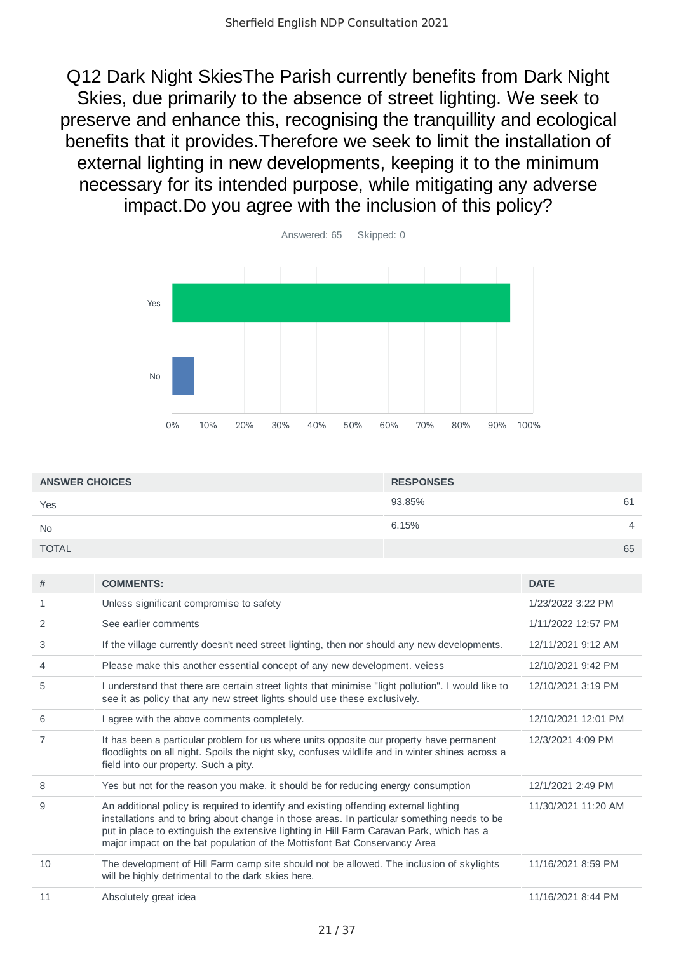Q12 Dark Night SkiesThe Parish currently benefits from Dark Night Skies, due primarily to the absence of street lighting. We seek to preserve and enhance this, recognising the tranquillity and ecological benefits that it provides.Therefore we seek to limit the installation of external lighting in new developments, keeping it to the minimum necessary for its intended purpose, while mitigating any adverse impact.Do you agree with the inclusion of this policy?



| <b>ANSWER CHOICES</b> | <b>RESPONSES</b>        |
|-----------------------|-------------------------|
| Yes                   | 93.85%<br>61            |
| <b>No</b>             | 6.15%<br>$\overline{4}$ |
| <b>TOTAL</b>          | 65                      |

| #  | <b>COMMENTS:</b>                                                                                                                                                                                                                                                                                                                                              | <b>DATE</b>         |
|----|---------------------------------------------------------------------------------------------------------------------------------------------------------------------------------------------------------------------------------------------------------------------------------------------------------------------------------------------------------------|---------------------|
| 1  | Unless significant compromise to safety                                                                                                                                                                                                                                                                                                                       | 1/23/2022 3:22 PM   |
| 2  | See earlier comments                                                                                                                                                                                                                                                                                                                                          | 1/11/2022 12:57 PM  |
| 3  | If the village currently doesn't need street lighting, then nor should any new developments.                                                                                                                                                                                                                                                                  | 12/11/2021 9:12 AM  |
| 4  | Please make this another essential concept of any new development. veiess                                                                                                                                                                                                                                                                                     | 12/10/2021 9:42 PM  |
| 5  | I understand that there are certain street lights that minimise "light pollution". I would like to<br>see it as policy that any new street lights should use these exclusively.                                                                                                                                                                               | 12/10/2021 3:19 PM  |
| 6  | I agree with the above comments completely.                                                                                                                                                                                                                                                                                                                   | 12/10/2021 12:01 PM |
|    | It has been a particular problem for us where units opposite our property have permanent<br>floodlights on all night. Spoils the night sky, confuses wildlife and in winter shines across a<br>field into our property. Such a pity.                                                                                                                          | 12/3/2021 4:09 PM   |
| 8  | Yes but not for the reason you make, it should be for reducing energy consumption                                                                                                                                                                                                                                                                             | 12/1/2021 2:49 PM   |
| 9  | An additional policy is required to identify and existing offending external lighting<br>installations and to bring about change in those areas. In particular something needs to be<br>put in place to extinguish the extensive lighting in Hill Farm Caravan Park, which has a<br>major impact on the bat population of the Mottisfont Bat Conservancy Area | 11/30/2021 11:20 AM |
| 10 | The development of Hill Farm camp site should not be allowed. The inclusion of skylights<br>will be highly detrimental to the dark skies here.                                                                                                                                                                                                                | 11/16/2021 8:59 PM  |
| 11 | Absolutely great idea                                                                                                                                                                                                                                                                                                                                         | 11/16/2021 8:44 PM  |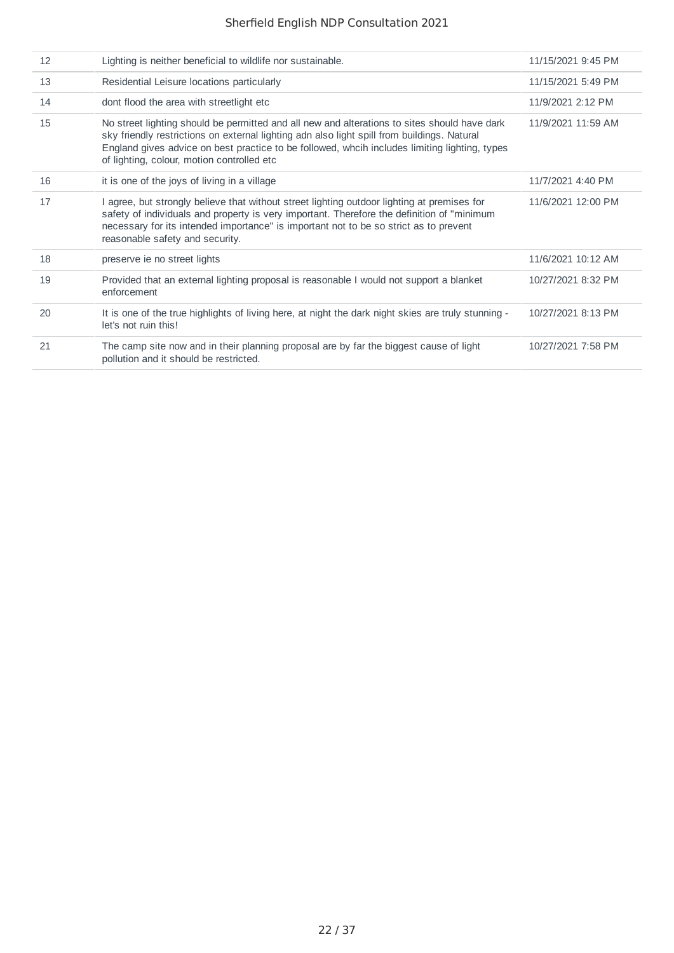| 12 | Lighting is neither beneficial to wildlife nor sustainable.                                                                                                                                                                                                                                                                                | 11/15/2021 9:45 PM |
|----|--------------------------------------------------------------------------------------------------------------------------------------------------------------------------------------------------------------------------------------------------------------------------------------------------------------------------------------------|--------------------|
| 13 | Residential Leisure locations particularly                                                                                                                                                                                                                                                                                                 | 11/15/2021 5:49 PM |
| 14 | dont flood the area with streetlight etc                                                                                                                                                                                                                                                                                                   | 11/9/2021 2:12 PM  |
| 15 | No street lighting should be permitted and all new and alterations to sites should have dark<br>sky friendly restrictions on external lighting adn also light spill from buildings. Natural<br>England gives advice on best practice to be followed, wheih includes limiting lighting, types<br>of lighting, colour, motion controlled etc | 11/9/2021 11:59 AM |
| 16 | it is one of the joys of living in a village                                                                                                                                                                                                                                                                                               | 11/7/2021 4:40 PM  |
| 17 | I agree, but strongly believe that without street lighting outdoor lighting at premises for<br>safety of individuals and property is very important. Therefore the definition of "minimum<br>necessary for its intended importance" is important not to be so strict as to prevent<br>reasonable safety and security.                      | 11/6/2021 12:00 PM |
| 18 | preserve ie no street lights                                                                                                                                                                                                                                                                                                               | 11/6/2021 10:12 AM |
| 19 | Provided that an external lighting proposal is reasonable I would not support a blanket<br>enforcement                                                                                                                                                                                                                                     | 10/27/2021 8:32 PM |
| 20 | It is one of the true highlights of living here, at night the dark night skies are truly stunning -<br>let's not ruin this!                                                                                                                                                                                                                | 10/27/2021 8:13 PM |
| 21 | The camp site now and in their planning proposal are by far the biggest cause of light<br>pollution and it should be restricted.                                                                                                                                                                                                           | 10/27/2021 7:58 PM |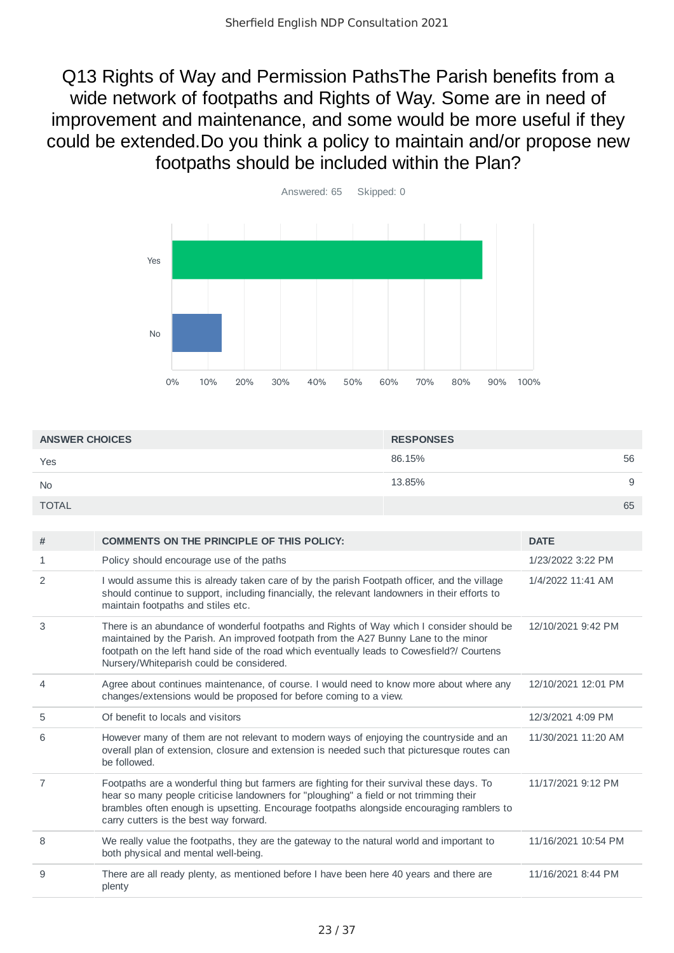Q13 Rights of Way and Permission PathsThe Parish benefits from a wide network of footpaths and Rights of Way. Some are in need of improvement and maintenance, and some would be more useful if they could be extended.Do you think a policy to maintain and/or propose new footpaths should be included within the Plan?



| <b>ANSWER CHOICES</b> | <b>RESPONSES</b> |
|-----------------------|------------------|
| Yes                   | 86.15%<br>56     |
| <b>No</b>             | 13.85%<br>9      |
| <b>TOTAL</b>          | 65               |

| # | <b>COMMENTS ON THE PRINCIPLE OF THIS POLICY:</b>                                                                                                                                                                                                                                                                            | <b>DATE</b>         |
|---|-----------------------------------------------------------------------------------------------------------------------------------------------------------------------------------------------------------------------------------------------------------------------------------------------------------------------------|---------------------|
| 1 | Policy should encourage use of the paths                                                                                                                                                                                                                                                                                    | 1/23/2022 3:22 PM   |
| 2 | I would assume this is already taken care of by the parish Footpath officer, and the village<br>should continue to support, including financially, the relevant landowners in their efforts to<br>maintain footpaths and stiles etc.                                                                                        | 1/4/2022 11:41 AM   |
| 3 | There is an abundance of wonderful footpaths and Rights of Way which I consider should be<br>maintained by the Parish. An improved footpath from the A27 Bunny Lane to the minor<br>footpath on the left hand side of the road which eventually leads to Cowesfield?/ Courtens<br>Nursery/Whiteparish could be considered.  | 12/10/2021 9:42 PM  |
| 4 | Agree about continues maintenance, of course. I would need to know more about where any<br>changes/extensions would be proposed for before coming to a view.                                                                                                                                                                | 12/10/2021 12:01 PM |
| 5 | Of benefit to locals and visitors                                                                                                                                                                                                                                                                                           | 12/3/2021 4:09 PM   |
| 6 | However many of them are not relevant to modern ways of enjoying the countryside and an<br>overall plan of extension, closure and extension is needed such that picturesque routes can<br>be followed.                                                                                                                      | 11/30/2021 11:20 AM |
| 7 | Footpaths are a wonderful thing but farmers are fighting for their survival these days. To<br>hear so many people criticise landowners for "ploughing" a field or not trimming their<br>brambles often enough is upsetting. Encourage footpaths alongside encouraging ramblers to<br>carry cutters is the best way forward. | 11/17/2021 9:12 PM  |
| 8 | We really value the footpaths, they are the gateway to the natural world and important to<br>both physical and mental well-being.                                                                                                                                                                                           | 11/16/2021 10:54 PM |
| 9 | There are all ready plenty, as mentioned before I have been here 40 years and there are<br>plenty                                                                                                                                                                                                                           | 11/16/2021 8:44 PM  |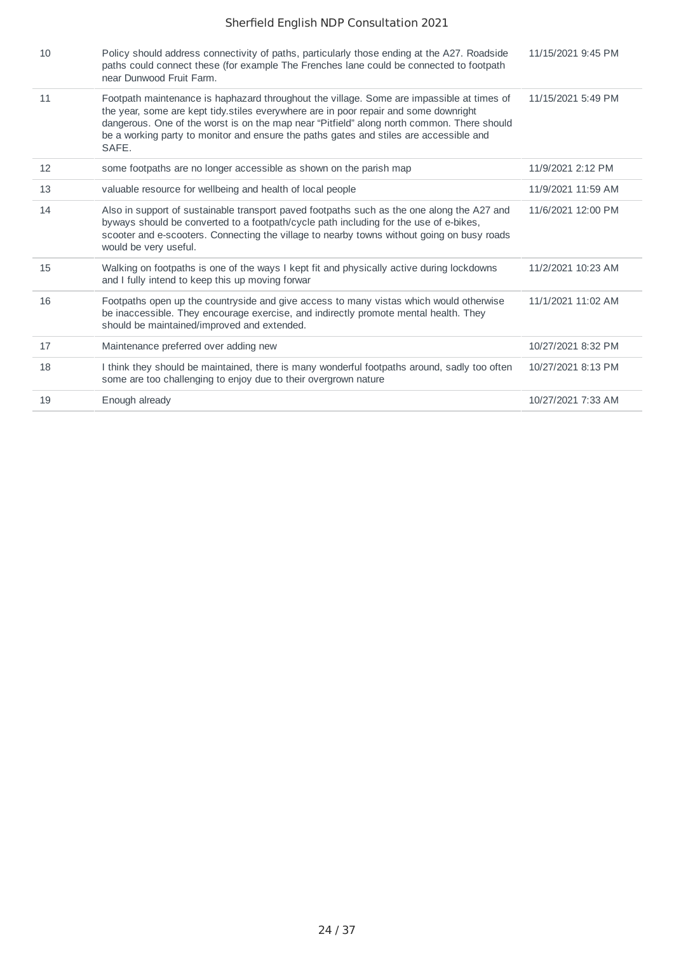| 10 | Policy should address connectivity of paths, particularly those ending at the A27. Roadside<br>paths could connect these (for example The Frenches lane could be connected to footpath<br>near Dunwood Fruit Farm.                                                                                                                                                                 | 11/15/2021 9:45 PM |
|----|------------------------------------------------------------------------------------------------------------------------------------------------------------------------------------------------------------------------------------------------------------------------------------------------------------------------------------------------------------------------------------|--------------------|
| 11 | Footpath maintenance is haphazard throughout the village. Some are impassible at times of<br>the year, some are kept tidy stiles everywhere are in poor repair and some downright<br>dangerous. One of the worst is on the map near "Pitfield" along north common. There should<br>be a working party to monitor and ensure the paths gates and stiles are accessible and<br>SAFE. | 11/15/2021 5:49 PM |
| 12 | some footpaths are no longer accessible as shown on the parish map                                                                                                                                                                                                                                                                                                                 | 11/9/2021 2:12 PM  |
| 13 | valuable resource for wellbeing and health of local people                                                                                                                                                                                                                                                                                                                         | 11/9/2021 11:59 AM |
| 14 | Also in support of sustainable transport paved footpaths such as the one along the A27 and<br>byways should be converted to a footpath/cycle path including for the use of e-bikes,<br>scooter and e-scooters. Connecting the village to nearby towns without going on busy roads<br>would be very useful.                                                                         | 11/6/2021 12:00 PM |
| 15 | Walking on footpaths is one of the ways I kept fit and physically active during lockdowns<br>and I fully intend to keep this up moving forwar                                                                                                                                                                                                                                      | 11/2/2021 10:23 AM |
| 16 | Footpaths open up the countryside and give access to many vistas which would otherwise<br>be inaccessible. They encourage exercise, and indirectly promote mental health. They<br>should be maintained/improved and extended.                                                                                                                                                      | 11/1/2021 11:02 AM |
| 17 | Maintenance preferred over adding new                                                                                                                                                                                                                                                                                                                                              | 10/27/2021 8:32 PM |
| 18 | I think they should be maintained, there is many wonderful footpaths around, sadly too often<br>some are too challenging to enjoy due to their overgrown nature                                                                                                                                                                                                                    | 10/27/2021 8:13 PM |
| 19 | Enough already                                                                                                                                                                                                                                                                                                                                                                     | 10/27/2021 7:33 AM |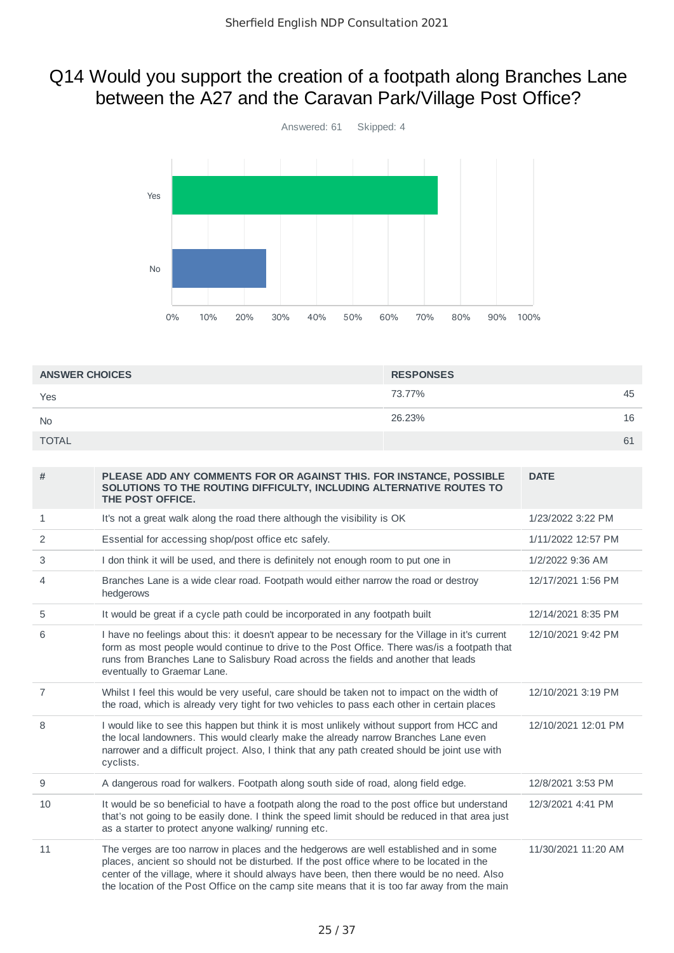## Q14 Would you support the creation of a footpath along Branches Lane between the A27 and the Caravan Park/Village Post Office?



| <b>ANSWER CHOICES</b> | <b>RESPONSES</b> |    |
|-----------------------|------------------|----|
| Yes                   | 73.77%           | 45 |
| <b>No</b>             | 26.23%           | 16 |
| <b>TOTAL</b>          |                  | 61 |

| #  | PLEASE ADD ANY COMMENTS FOR OR AGAINST THIS. FOR INSTANCE, POSSIBLE<br>SOLUTIONS TO THE ROUTING DIFFICULTY, INCLUDING ALTERNATIVE ROUTES TO<br>THE POST OFFICE.                                                                                                                                                                                                                   | <b>DATE</b>         |
|----|-----------------------------------------------------------------------------------------------------------------------------------------------------------------------------------------------------------------------------------------------------------------------------------------------------------------------------------------------------------------------------------|---------------------|
| 1  | It's not a great walk along the road there although the visibility is OK                                                                                                                                                                                                                                                                                                          | 1/23/2022 3:22 PM   |
| 2  | Essential for accessing shop/post office etc safely.                                                                                                                                                                                                                                                                                                                              | 1/11/2022 12:57 PM  |
| 3  | I don think it will be used, and there is definitely not enough room to put one in                                                                                                                                                                                                                                                                                                | 1/2/2022 9:36 AM    |
| 4  | Branches Lane is a wide clear road. Footpath would either narrow the road or destroy<br>hedgerows                                                                                                                                                                                                                                                                                 | 12/17/2021 1:56 PM  |
| 5  | It would be great if a cycle path could be incorporated in any footpath built                                                                                                                                                                                                                                                                                                     | 12/14/2021 8:35 PM  |
| 6  | I have no feelings about this: it doesn't appear to be necessary for the Village in it's current<br>form as most people would continue to drive to the Post Office. There was/is a footpath that<br>runs from Branches Lane to Salisbury Road across the fields and another that leads<br>eventually to Graemar Lane.                                                             | 12/10/2021 9:42 PM  |
| 7  | Whilst I feel this would be very useful, care should be taken not to impact on the width of<br>the road, which is already very tight for two vehicles to pass each other in certain places                                                                                                                                                                                        | 12/10/2021 3:19 PM  |
| 8  | I would like to see this happen but think it is most unlikely without support from HCC and<br>the local landowners. This would clearly make the already narrow Branches Lane even<br>narrower and a difficult project. Also, I think that any path created should be joint use with<br>cyclists.                                                                                  | 12/10/2021 12:01 PM |
| 9  | A dangerous road for walkers. Footpath along south side of road, along field edge.                                                                                                                                                                                                                                                                                                | 12/8/2021 3:53 PM   |
| 10 | It would be so beneficial to have a footpath along the road to the post office but understand<br>that's not going to be easily done. I think the speed limit should be reduced in that area just<br>as a starter to protect anyone walking/ running etc.                                                                                                                          | 12/3/2021 4:41 PM   |
| 11 | The verges are too narrow in places and the hedgerows are well established and in some<br>places, ancient so should not be disturbed. If the post office where to be located in the<br>center of the village, where it should always have been, then there would be no need. Also<br>the location of the Post Office on the camp site means that it is too far away from the main | 11/30/2021 11:20 AM |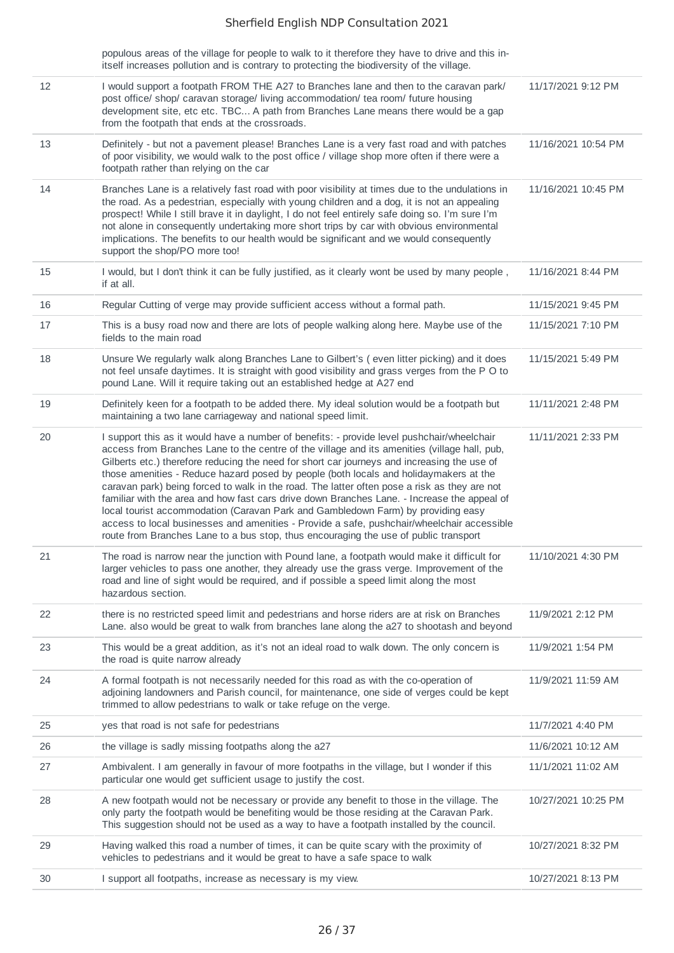|    | populous areas of the village for people to walk to it therefore they have to drive and this in-<br>itself increases pollution and is contrary to protecting the biodiversity of the village.                                                                                                                                                                                                                                                                                                                                                                                                                                                                                                                                                                                                                                                               |                     |
|----|-------------------------------------------------------------------------------------------------------------------------------------------------------------------------------------------------------------------------------------------------------------------------------------------------------------------------------------------------------------------------------------------------------------------------------------------------------------------------------------------------------------------------------------------------------------------------------------------------------------------------------------------------------------------------------------------------------------------------------------------------------------------------------------------------------------------------------------------------------------|---------------------|
| 12 | I would support a footpath FROM THE A27 to Branches lane and then to the caravan park/<br>post office/ shop/ caravan storage/ living accommodation/ tea room/ future housing<br>development site, etc etc. TBC A path from Branches Lane means there would be a gap<br>from the footpath that ends at the crossroads.                                                                                                                                                                                                                                                                                                                                                                                                                                                                                                                                       | 11/17/2021 9:12 PM  |
| 13 | Definitely - but not a pavement please! Branches Lane is a very fast road and with patches<br>of poor visibility, we would walk to the post office / village shop more often if there were a<br>footpath rather than relying on the car                                                                                                                                                                                                                                                                                                                                                                                                                                                                                                                                                                                                                     | 11/16/2021 10:54 PM |
| 14 | Branches Lane is a relatively fast road with poor visibility at times due to the undulations in<br>the road. As a pedestrian, especially with young children and a dog, it is not an appealing<br>prospect! While I still brave it in daylight, I do not feel entirely safe doing so. I'm sure I'm<br>not alone in consequently undertaking more short trips by car with obvious environmental<br>implications. The benefits to our health would be significant and we would consequently<br>support the shop/PO more too!                                                                                                                                                                                                                                                                                                                                  | 11/16/2021 10:45 PM |
| 15 | I would, but I don't think it can be fully justified, as it clearly wont be used by many people,<br>if at all.                                                                                                                                                                                                                                                                                                                                                                                                                                                                                                                                                                                                                                                                                                                                              | 11/16/2021 8:44 PM  |
| 16 | Regular Cutting of verge may provide sufficient access without a formal path.                                                                                                                                                                                                                                                                                                                                                                                                                                                                                                                                                                                                                                                                                                                                                                               | 11/15/2021 9:45 PM  |
| 17 | This is a busy road now and there are lots of people walking along here. Maybe use of the<br>fields to the main road                                                                                                                                                                                                                                                                                                                                                                                                                                                                                                                                                                                                                                                                                                                                        | 11/15/2021 7:10 PM  |
| 18 | Unsure We regularly walk along Branches Lane to Gilbert's (even litter picking) and it does<br>not feel unsafe daytimes. It is straight with good visibility and grass verges from the P O to<br>pound Lane. Will it require taking out an established hedge at A27 end                                                                                                                                                                                                                                                                                                                                                                                                                                                                                                                                                                                     | 11/15/2021 5:49 PM  |
| 19 | Definitely keen for a footpath to be added there. My ideal solution would be a footpath but<br>maintaining a two lane carriageway and national speed limit.                                                                                                                                                                                                                                                                                                                                                                                                                                                                                                                                                                                                                                                                                                 | 11/11/2021 2:48 PM  |
| 20 | I support this as it would have a number of benefits: - provide level pushchair/wheelchair<br>access from Branches Lane to the centre of the village and its amenities (village hall, pub,<br>Gilberts etc.) therefore reducing the need for short car journeys and increasing the use of<br>those amenities - Reduce hazard posed by people (both locals and holidaymakers at the<br>caravan park) being forced to walk in the road. The latter often pose a risk as they are not<br>familiar with the area and how fast cars drive down Branches Lane. - Increase the appeal of<br>local tourist accommodation (Caravan Park and Gambledown Farm) by providing easy<br>access to local businesses and amenities - Provide a safe, pushchair/wheelchair accessible<br>route from Branches Lane to a bus stop, thus encouraging the use of public transport | 11/11/2021 2:33 PM  |
| 21 | The road is narrow near the junction with Pound lane, a footpath would make it difficult for<br>larger vehicles to pass one another, they already use the grass verge. Improvement of the<br>road and line of sight would be required, and if possible a speed limit along the most<br>hazardous section.                                                                                                                                                                                                                                                                                                                                                                                                                                                                                                                                                   | 11/10/2021 4:30 PM  |
| 22 | there is no restricted speed limit and pedestrians and horse riders are at risk on Branches<br>Lane. also would be great to walk from branches lane along the a27 to shootash and beyond                                                                                                                                                                                                                                                                                                                                                                                                                                                                                                                                                                                                                                                                    | 11/9/2021 2:12 PM   |
| 23 | This would be a great addition, as it's not an ideal road to walk down. The only concern is<br>the road is quite narrow already                                                                                                                                                                                                                                                                                                                                                                                                                                                                                                                                                                                                                                                                                                                             | 11/9/2021 1:54 PM   |
| 24 | A formal footpath is not necessarily needed for this road as with the co-operation of<br>adjoining landowners and Parish council, for maintenance, one side of verges could be kept<br>trimmed to allow pedestrians to walk or take refuge on the verge.                                                                                                                                                                                                                                                                                                                                                                                                                                                                                                                                                                                                    | 11/9/2021 11:59 AM  |
| 25 | yes that road is not safe for pedestrians                                                                                                                                                                                                                                                                                                                                                                                                                                                                                                                                                                                                                                                                                                                                                                                                                   | 11/7/2021 4:40 PM   |
| 26 | the village is sadly missing footpaths along the a27                                                                                                                                                                                                                                                                                                                                                                                                                                                                                                                                                                                                                                                                                                                                                                                                        | 11/6/2021 10:12 AM  |
| 27 | Ambivalent. I am generally in favour of more footpaths in the village, but I wonder if this<br>particular one would get sufficient usage to justify the cost.                                                                                                                                                                                                                                                                                                                                                                                                                                                                                                                                                                                                                                                                                               | 11/1/2021 11:02 AM  |
| 28 | A new footpath would not be necessary or provide any benefit to those in the village. The<br>only party the footpath would be benefiting would be those residing at the Caravan Park.<br>This suggestion should not be used as a way to have a footpath installed by the council.                                                                                                                                                                                                                                                                                                                                                                                                                                                                                                                                                                           | 10/27/2021 10:25 PM |
| 29 | Having walked this road a number of times, it can be quite scary with the proximity of<br>vehicles to pedestrians and it would be great to have a safe space to walk                                                                                                                                                                                                                                                                                                                                                                                                                                                                                                                                                                                                                                                                                        | 10/27/2021 8:32 PM  |
| 30 | I support all footpaths, increase as necessary is my view.                                                                                                                                                                                                                                                                                                                                                                                                                                                                                                                                                                                                                                                                                                                                                                                                  | 10/27/2021 8:13 PM  |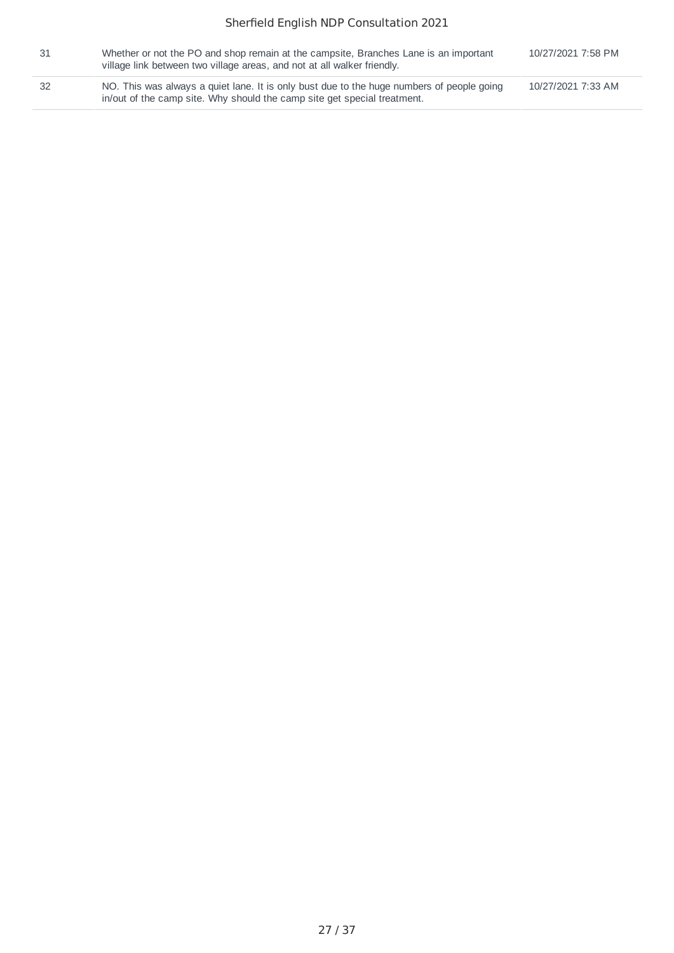| -31 | Whether or not the PO and shop remain at the campsite, Branches Lane is an important<br>village link between two village areas, and not at all walker friendly.       | 10/27/2021 7:58 PM |
|-----|-----------------------------------------------------------------------------------------------------------------------------------------------------------------------|--------------------|
| 32  | NO. This was always a quiet lane. It is only bust due to the huge numbers of people going<br>in/out of the camp site. Why should the camp site get special treatment. | 10/27/2021 7:33 AM |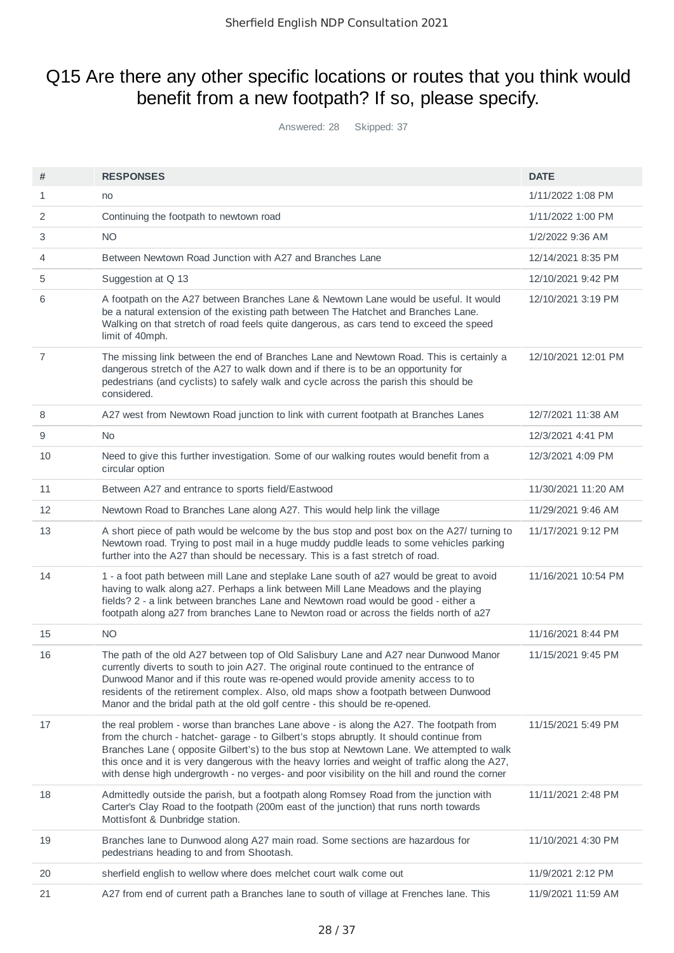## Q15 Are there any other specific locations or routes that you think would benefit from a new footpath? If so, please specify.

Answered: 28 Skipped: 37

| #  | <b>RESPONSES</b>                                                                                                                                                                                                                                                                                                                                                                                                                                                                   | <b>DATE</b>         |
|----|------------------------------------------------------------------------------------------------------------------------------------------------------------------------------------------------------------------------------------------------------------------------------------------------------------------------------------------------------------------------------------------------------------------------------------------------------------------------------------|---------------------|
| 1  | no                                                                                                                                                                                                                                                                                                                                                                                                                                                                                 | 1/11/2022 1:08 PM   |
| 2  | Continuing the footpath to newtown road                                                                                                                                                                                                                                                                                                                                                                                                                                            | 1/11/2022 1:00 PM   |
| 3  | <b>NO</b>                                                                                                                                                                                                                                                                                                                                                                                                                                                                          | 1/2/2022 9:36 AM    |
| 4  | Between Newtown Road Junction with A27 and Branches Lane                                                                                                                                                                                                                                                                                                                                                                                                                           | 12/14/2021 8:35 PM  |
| 5  | Suggestion at Q 13                                                                                                                                                                                                                                                                                                                                                                                                                                                                 | 12/10/2021 9:42 PM  |
| 6  | A footpath on the A27 between Branches Lane & Newtown Lane would be useful. It would<br>be a natural extension of the existing path between The Hatchet and Branches Lane.<br>Walking on that stretch of road feels quite dangerous, as cars tend to exceed the speed<br>limit of 40mph.                                                                                                                                                                                           | 12/10/2021 3:19 PM  |
| 7  | The missing link between the end of Branches Lane and Newtown Road. This is certainly a<br>dangerous stretch of the A27 to walk down and if there is to be an opportunity for<br>pedestrians (and cyclists) to safely walk and cycle across the parish this should be<br>considered.                                                                                                                                                                                               | 12/10/2021 12:01 PM |
| 8  | A27 west from Newtown Road junction to link with current footpath at Branches Lanes                                                                                                                                                                                                                                                                                                                                                                                                | 12/7/2021 11:38 AM  |
| 9  | No.                                                                                                                                                                                                                                                                                                                                                                                                                                                                                | 12/3/2021 4:41 PM   |
| 10 | Need to give this further investigation. Some of our walking routes would benefit from a<br>circular option                                                                                                                                                                                                                                                                                                                                                                        | 12/3/2021 4:09 PM   |
| 11 | Between A27 and entrance to sports field/Eastwood                                                                                                                                                                                                                                                                                                                                                                                                                                  | 11/30/2021 11:20 AM |
| 12 | Newtown Road to Branches Lane along A27. This would help link the village                                                                                                                                                                                                                                                                                                                                                                                                          | 11/29/2021 9:46 AM  |
| 13 | A short piece of path would be welcome by the bus stop and post box on the A27/ turning to<br>Newtown road. Trying to post mail in a huge muddy puddle leads to some vehicles parking<br>further into the A27 than should be necessary. This is a fast stretch of road.                                                                                                                                                                                                            | 11/17/2021 9:12 PM  |
| 14 | 1 - a foot path between mill Lane and steplake Lane south of a27 would be great to avoid<br>having to walk along a27. Perhaps a link between Mill Lane Meadows and the playing<br>fields? 2 - a link between branches Lane and Newtown road would be good - either a<br>footpath along a27 from branches Lane to Newton road or across the fields north of a27                                                                                                                     | 11/16/2021 10:54 PM |
| 15 | NO.                                                                                                                                                                                                                                                                                                                                                                                                                                                                                | 11/16/2021 8:44 PM  |
| 16 | The path of the old A27 between top of Old Salisbury Lane and A27 near Dunwood Manor<br>currently diverts to south to join A27. The original route continued to the entrance of<br>Dunwood Manor and if this route was re-opened would provide amenity access to to<br>residents of the retirement complex. Also, old maps show a footpath between Dunwood<br>Manor and the bridal path at the old golf centre - this should be re-opened.                                         | 11/15/2021 9:45 PM  |
| 17 | the real problem - worse than branches Lane above - is along the A27. The footpath from<br>from the church - hatchet- garage - to Gilbert's stops abruptly. It should continue from<br>Branches Lane (opposite Gilbert's) to the bus stop at Newtown Lane. We attempted to walk<br>this once and it is very dangerous with the heavy lorries and weight of traffic along the A27,<br>with dense high undergrowth - no verges- and poor visibility on the hill and round the corner | 11/15/2021 5:49 PM  |
| 18 | Admittedly outside the parish, but a footpath along Romsey Road from the junction with<br>Carter's Clay Road to the footpath (200m east of the junction) that runs north towards<br>Mottisfont & Dunbridge station.                                                                                                                                                                                                                                                                | 11/11/2021 2:48 PM  |
| 19 | Branches lane to Dunwood along A27 main road. Some sections are hazardous for<br>pedestrians heading to and from Shootash.                                                                                                                                                                                                                                                                                                                                                         | 11/10/2021 4:30 PM  |
| 20 | sherfield english to wellow where does melchet court walk come out                                                                                                                                                                                                                                                                                                                                                                                                                 | 11/9/2021 2:12 PM   |
| 21 | A27 from end of current path a Branches lane to south of village at Frenches lane. This                                                                                                                                                                                                                                                                                                                                                                                            | 11/9/2021 11:59 AM  |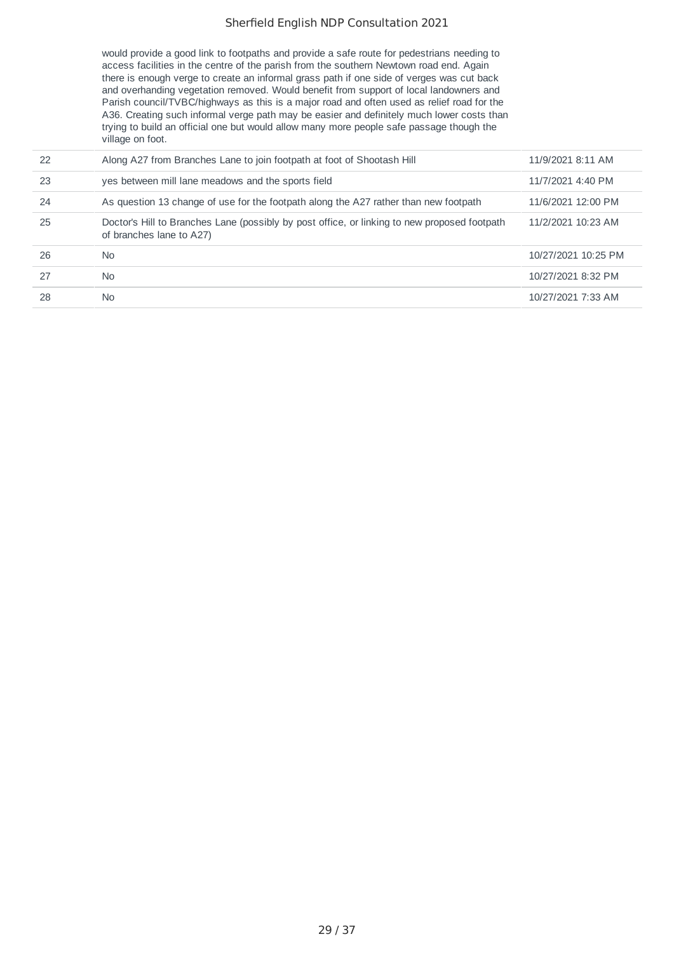would provide a good link to footpaths and provide a safe route for pedestrians needing to access facilities in the centre of the parish from the southern Newtown road end. Again there is enough verge to create an informal grass path if one side of verges was cut back and overhanding vegetation removed. Would benefit from support of local landowners and Parish council/TVBC/highways as this is a major road and often used as relief road for the A36. Creating such informal verge path may be easier and definitely much lower costs than trying to build an official one but would allow many more people safe passage though the village on foot.

| 22 | Along A27 from Branches Lane to join footpath at foot of Shootash Hill                                                   | 11/9/2021 8:11 AM   |
|----|--------------------------------------------------------------------------------------------------------------------------|---------------------|
| 23 | yes between mill lane meadows and the sports field                                                                       | 11/7/2021 4:40 PM   |
| 24 | As question 13 change of use for the footpath along the A27 rather than new footpath                                     | 11/6/2021 12:00 PM  |
| 25 | Doctor's Hill to Branches Lane (possibly by post office, or linking to new proposed footpath<br>of branches lane to A27) | 11/2/2021 10:23 AM  |
| 26 | N <sub>0</sub>                                                                                                           | 10/27/2021 10:25 PM |
| 27 | N <sub>0</sub>                                                                                                           | 10/27/2021 8:32 PM  |
| 28 | No                                                                                                                       | 10/27/2021 7:33 AM  |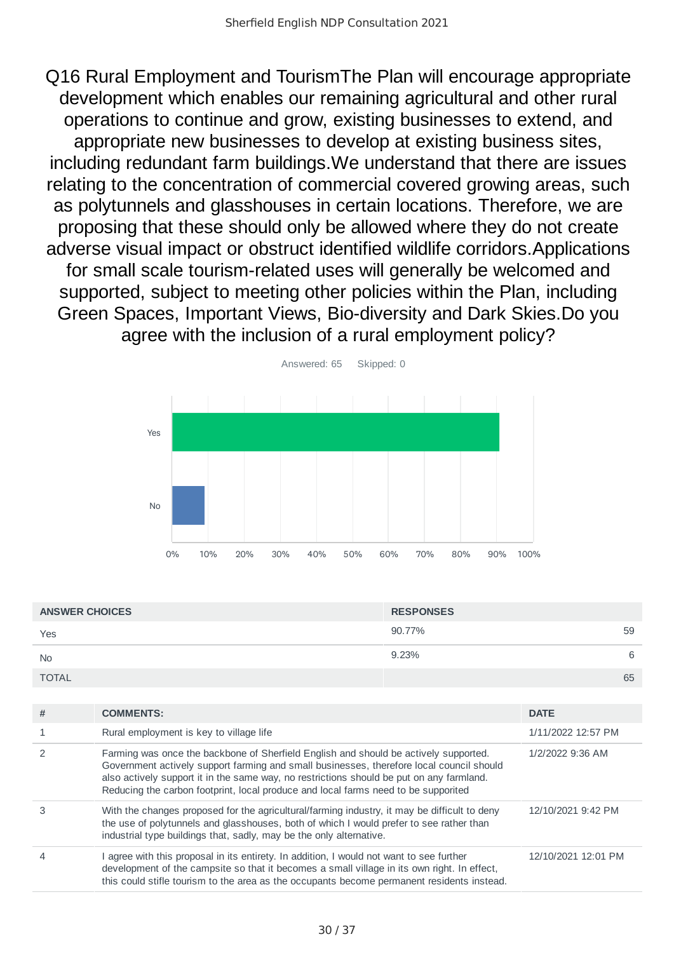Q16 Rural Employment and TourismThe Plan will encourage appropriate development which enables our remaining agricultural and other rural operations to continue and grow, existing businesses to extend, and appropriate new businesses to develop at existing business sites, including redundant farm buildings.We understand that there are issues relating to the concentration of commercial covered growing areas, such as polytunnels and glasshouses in certain locations. Therefore, we are proposing that these should only be allowed where they do not create adverse visual impact or obstruct identified wildlife corridors.Applications for small scale tourism-related uses will generally be welcomed and supported, subject to meeting other policies within the Plan, including Green Spaces, Important Views, Bio-diversity and Dark Skies.Do you agree with the inclusion of a rural employment policy?



| <b>ANSWER CHOICES</b> | <b>RESPONSES</b> |    |
|-----------------------|------------------|----|
| Yes                   | 90.77%           | 59 |
| <b>No</b>             | 9.23%            | 6  |
| <b>TOTAL</b>          |                  | 65 |

| # | <b>COMMENTS:</b>                                                                                                                                                                                                                                                                                                                                                   | <b>DATE</b>         |
|---|--------------------------------------------------------------------------------------------------------------------------------------------------------------------------------------------------------------------------------------------------------------------------------------------------------------------------------------------------------------------|---------------------|
|   | Rural employment is key to village life                                                                                                                                                                                                                                                                                                                            | 1/11/2022 12:57 PM  |
|   | Farming was once the backbone of Sherfield English and should be actively supported.<br>Government actively support farming and small businesses, therefore local council should<br>also actively support it in the same way, no restrictions should be put on any farmland.<br>Reducing the carbon footprint, local produce and local farms need to be supporited | 1/2/2022 9:36 AM    |
|   | With the changes proposed for the agricultural/farming industry, it may be difficult to deny<br>the use of polytunnels and glasshouses, both of which I would prefer to see rather than<br>industrial type buildings that, sadly, may be the only alternative.                                                                                                     | 12/10/2021 9:42 PM  |
|   | agree with this proposal in its entirety. In addition, I would not want to see further<br>development of the campsite so that it becomes a small village in its own right. In effect,<br>this could stifle tourism to the area as the occupants become permanent residents instead.                                                                                | 12/10/2021 12:01 PM |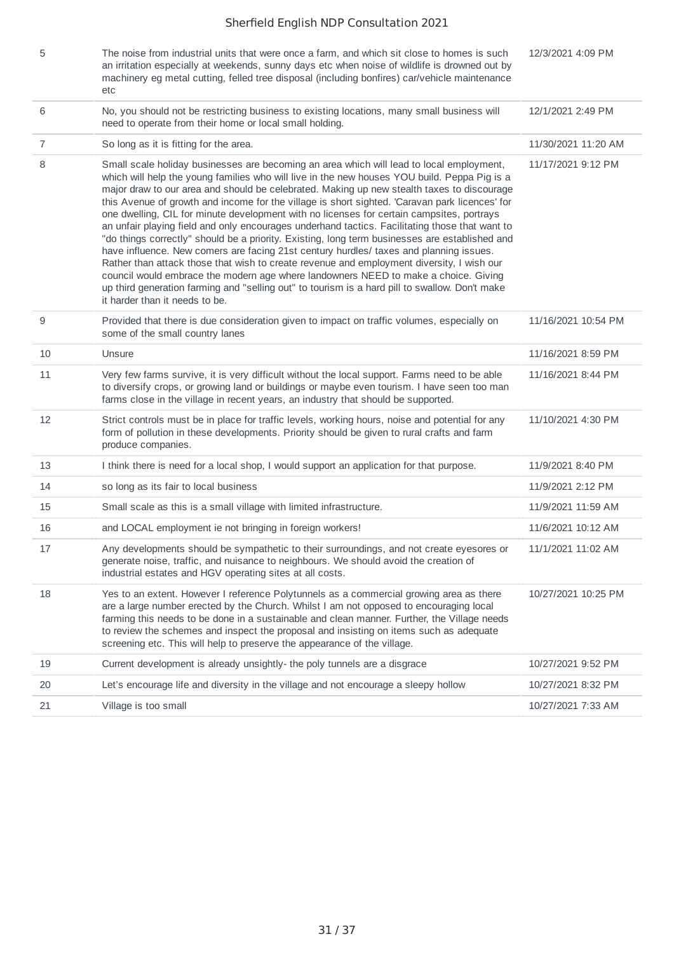| 5              | The noise from industrial units that were once a farm, and which sit close to homes is such<br>an irritation especially at weekends, sunny days etc when noise of wildlife is drowned out by<br>machinery eg metal cutting, felled tree disposal (including bonfires) car/vehicle maintenance<br>etc                                                                                                                                                                                                                                                                                                                                                                                                                                                                                                                                                                                                                                                                                                                                                                                                        | 12/3/2021 4:09 PM   |
|----------------|-------------------------------------------------------------------------------------------------------------------------------------------------------------------------------------------------------------------------------------------------------------------------------------------------------------------------------------------------------------------------------------------------------------------------------------------------------------------------------------------------------------------------------------------------------------------------------------------------------------------------------------------------------------------------------------------------------------------------------------------------------------------------------------------------------------------------------------------------------------------------------------------------------------------------------------------------------------------------------------------------------------------------------------------------------------------------------------------------------------|---------------------|
| 6              | No, you should not be restricting business to existing locations, many small business will<br>need to operate from their home or local small holding.                                                                                                                                                                                                                                                                                                                                                                                                                                                                                                                                                                                                                                                                                                                                                                                                                                                                                                                                                       | 12/1/2021 2:49 PM   |
| $\overline{7}$ | So long as it is fitting for the area.                                                                                                                                                                                                                                                                                                                                                                                                                                                                                                                                                                                                                                                                                                                                                                                                                                                                                                                                                                                                                                                                      | 11/30/2021 11:20 AM |
| 8              | Small scale holiday businesses are becoming an area which will lead to local employment,<br>which will help the young families who will live in the new houses YOU build. Peppa Pig is a<br>major draw to our area and should be celebrated. Making up new stealth taxes to discourage<br>this Avenue of growth and income for the village is short sighted. 'Caravan park licences' for<br>one dwelling, CIL for minute development with no licenses for certain campsites, portrays<br>an unfair playing field and only encourages underhand tactics. Facilitating those that want to<br>"do things correctly" should be a priority. Existing, long term businesses are established and<br>have influence. New comers are facing 21st century hurdles/ taxes and planning issues.<br>Rather than attack those that wish to create revenue and employment diversity, I wish our<br>council would embrace the modern age where landowners NEED to make a choice. Giving<br>up third generation farming and "selling out" to tourism is a hard pill to swallow. Don't make<br>it harder than it needs to be. | 11/17/2021 9:12 PM  |
| 9              | Provided that there is due consideration given to impact on traffic volumes, especially on<br>some of the small country lanes                                                                                                                                                                                                                                                                                                                                                                                                                                                                                                                                                                                                                                                                                                                                                                                                                                                                                                                                                                               | 11/16/2021 10:54 PM |
| 10             | Unsure                                                                                                                                                                                                                                                                                                                                                                                                                                                                                                                                                                                                                                                                                                                                                                                                                                                                                                                                                                                                                                                                                                      | 11/16/2021 8:59 PM  |
| 11             | Very few farms survive, it is very difficult without the local support. Farms need to be able<br>to diversify crops, or growing land or buildings or maybe even tourism. I have seen too man<br>farms close in the village in recent years, an industry that should be supported.                                                                                                                                                                                                                                                                                                                                                                                                                                                                                                                                                                                                                                                                                                                                                                                                                           | 11/16/2021 8:44 PM  |
| 12             | Strict controls must be in place for traffic levels, working hours, noise and potential for any<br>form of pollution in these developments. Priority should be given to rural crafts and farm<br>produce companies.                                                                                                                                                                                                                                                                                                                                                                                                                                                                                                                                                                                                                                                                                                                                                                                                                                                                                         | 11/10/2021 4:30 PM  |
| 13             | I think there is need for a local shop, I would support an application for that purpose.                                                                                                                                                                                                                                                                                                                                                                                                                                                                                                                                                                                                                                                                                                                                                                                                                                                                                                                                                                                                                    | 11/9/2021 8:40 PM   |
| 14             | so long as its fair to local business                                                                                                                                                                                                                                                                                                                                                                                                                                                                                                                                                                                                                                                                                                                                                                                                                                                                                                                                                                                                                                                                       | 11/9/2021 2:12 PM   |
| 15             | Small scale as this is a small village with limited infrastructure.                                                                                                                                                                                                                                                                                                                                                                                                                                                                                                                                                                                                                                                                                                                                                                                                                                                                                                                                                                                                                                         | 11/9/2021 11:59 AM  |
| 16             | and LOCAL employment ie not bringing in foreign workers!                                                                                                                                                                                                                                                                                                                                                                                                                                                                                                                                                                                                                                                                                                                                                                                                                                                                                                                                                                                                                                                    | 11/6/2021 10:12 AM  |
| 17             | Any developments should be sympathetic to their surroundings, and not create eyesores or<br>generate noise, traffic, and nuisance to neighbours. We should avoid the creation of<br>industrial estates and HGV operating sites at all costs.                                                                                                                                                                                                                                                                                                                                                                                                                                                                                                                                                                                                                                                                                                                                                                                                                                                                | 11/1/2021 11:02 AM  |
| 18             | Yes to an extent. However I reference Polytunnels as a commercial growing area as there<br>are a large number erected by the Church. Whilst I am not opposed to encouraging local<br>farming this needs to be done in a sustainable and clean manner. Further, the Village needs<br>to review the schemes and inspect the proposal and insisting on items such as adequate<br>screening etc. This will help to preserve the appearance of the village.                                                                                                                                                                                                                                                                                                                                                                                                                                                                                                                                                                                                                                                      | 10/27/2021 10:25 PM |
| 19             | Current development is already unsightly- the poly tunnels are a disgrace                                                                                                                                                                                                                                                                                                                                                                                                                                                                                                                                                                                                                                                                                                                                                                                                                                                                                                                                                                                                                                   | 10/27/2021 9:52 PM  |
| 20             | Let's encourage life and diversity in the village and not encourage a sleepy hollow                                                                                                                                                                                                                                                                                                                                                                                                                                                                                                                                                                                                                                                                                                                                                                                                                                                                                                                                                                                                                         | 10/27/2021 8:32 PM  |
| 21             | Village is too small                                                                                                                                                                                                                                                                                                                                                                                                                                                                                                                                                                                                                                                                                                                                                                                                                                                                                                                                                                                                                                                                                        | 10/27/2021 7:33 AM  |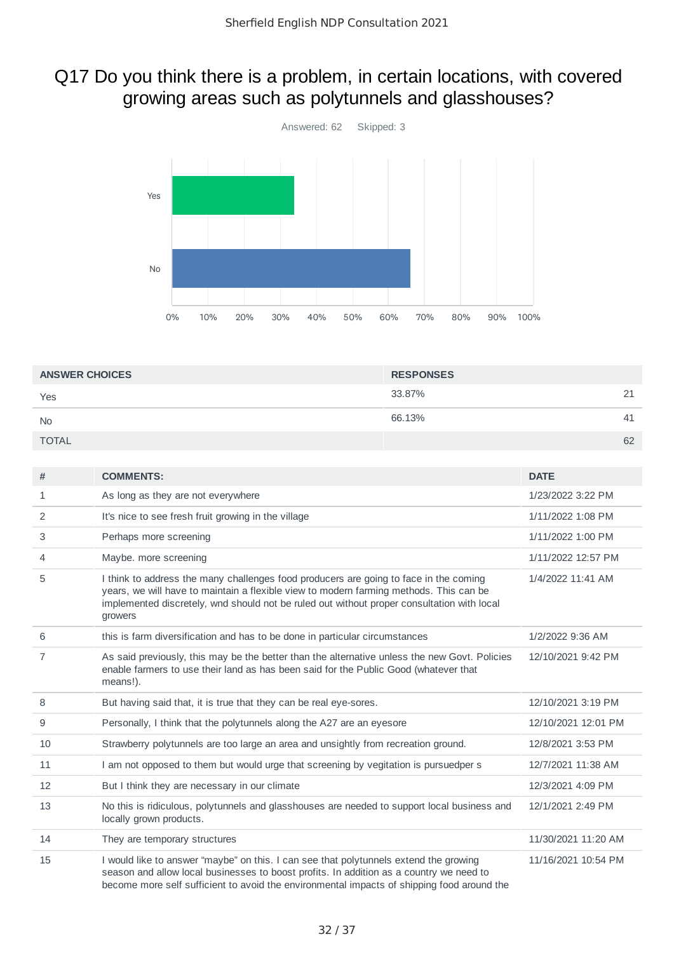## Q17 Do you think there is a problem, in certain locations, with covered growing areas such as polytunnels and glasshouses?



| <b>ANSWER CHOICES</b> | <b>RESPONSES</b> |    |
|-----------------------|------------------|----|
| Yes                   | 33.87%           | 21 |
| <b>No</b>             | 66.13%           | 41 |
| <b>TOTAL</b>          |                  | 62 |

| #  | <b>COMMENTS:</b>                                                                                                                                                                                                                                                                         | <b>DATE</b>         |
|----|------------------------------------------------------------------------------------------------------------------------------------------------------------------------------------------------------------------------------------------------------------------------------------------|---------------------|
| 1  | As long as they are not everywhere                                                                                                                                                                                                                                                       | 1/23/2022 3:22 PM   |
| 2  | It's nice to see fresh fruit growing in the village                                                                                                                                                                                                                                      | 1/11/2022 1:08 PM   |
| 3  | Perhaps more screening                                                                                                                                                                                                                                                                   | 1/11/2022 1:00 PM   |
| 4  | Maybe. more screening                                                                                                                                                                                                                                                                    | 1/11/2022 12:57 PM  |
| 5  | I think to address the many challenges food producers are going to face in the coming<br>years, we will have to maintain a flexible view to modern farming methods. This can be<br>implemented discretely, wnd should not be ruled out without proper consultation with local<br>growers | 1/4/2022 11:41 AM   |
| 6  | this is farm diversification and has to be done in particular circumstances                                                                                                                                                                                                              | 1/2/2022 9:36 AM    |
| 7  | As said previously, this may be the better than the alternative unless the new Govt. Policies<br>enable farmers to use their land as has been said for the Public Good (whatever that<br>means!).                                                                                        | 12/10/2021 9:42 PM  |
| 8  | But having said that, it is true that they can be real eye-sores.                                                                                                                                                                                                                        | 12/10/2021 3:19 PM  |
| 9  | Personally, I think that the polytunnels along the A27 are an eyesore                                                                                                                                                                                                                    | 12/10/2021 12:01 PM |
| 10 | Strawberry polytunnels are too large an area and unsightly from recreation ground.                                                                                                                                                                                                       | 12/8/2021 3:53 PM   |
| 11 | I am not opposed to them but would urge that screening by vegitation is pursuedper s                                                                                                                                                                                                     | 12/7/2021 11:38 AM  |
| 12 | But I think they are necessary in our climate                                                                                                                                                                                                                                            | 12/3/2021 4:09 PM   |
| 13 | No this is ridiculous, polytunnels and glasshouses are needed to support local business and<br>locally grown products.                                                                                                                                                                   | 12/1/2021 2:49 PM   |
| 14 | They are temporary structures                                                                                                                                                                                                                                                            | 11/30/2021 11:20 AM |
| 15 | I would like to answer "maybe" on this. I can see that polytunnels extend the growing<br>season and allow local businesses to boost profits. In addition as a country we need to<br>become more self sufficient to avoid the environmental impacts of shipping food around the           | 11/16/2021 10:54 PM |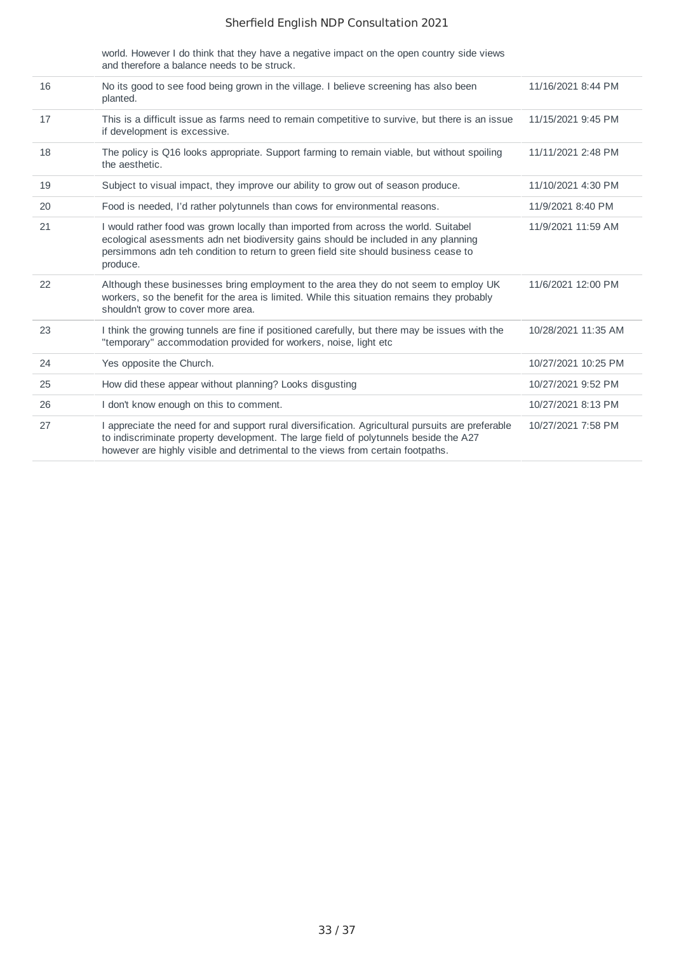|    | world. However I do think that they have a negative impact on the open country side views<br>and therefore a balance needs to be struck.                                                                                                                                      |                     |
|----|-------------------------------------------------------------------------------------------------------------------------------------------------------------------------------------------------------------------------------------------------------------------------------|---------------------|
| 16 | No its good to see food being grown in the village. I believe screening has also been<br>planted.                                                                                                                                                                             | 11/16/2021 8:44 PM  |
| 17 | This is a difficult issue as farms need to remain competitive to survive, but there is an issue<br>if development is excessive.                                                                                                                                               | 11/15/2021 9:45 PM  |
| 18 | The policy is Q16 looks appropriate. Support farming to remain viable, but without spoiling<br>the aesthetic.                                                                                                                                                                 | 11/11/2021 2:48 PM  |
| 19 | Subject to visual impact, they improve our ability to grow out of season produce.                                                                                                                                                                                             | 11/10/2021 4:30 PM  |
| 20 | Food is needed, I'd rather polytunnels than cows for environmental reasons.                                                                                                                                                                                                   | 11/9/2021 8:40 PM   |
| 21 | I would rather food was grown locally than imported from across the world. Suitabel<br>ecological asessments adn net biodiversity gains should be included in any planning<br>persimmons adn teh condition to return to green field site should business cease to<br>produce. | 11/9/2021 11:59 AM  |
| 22 | Although these businesses bring employment to the area they do not seem to employ UK<br>workers, so the benefit for the area is limited. While this situation remains they probably<br>shouldn't grow to cover more area.                                                     | 11/6/2021 12:00 PM  |
| 23 | I think the growing tunnels are fine if positioned carefully, but there may be issues with the<br>"temporary" accommodation provided for workers, noise, light etc                                                                                                            | 10/28/2021 11:35 AM |
| 24 | Yes opposite the Church.                                                                                                                                                                                                                                                      | 10/27/2021 10:25 PM |
| 25 | How did these appear without planning? Looks disgusting                                                                                                                                                                                                                       | 10/27/2021 9:52 PM  |
| 26 | I don't know enough on this to comment.                                                                                                                                                                                                                                       | 10/27/2021 8:13 PM  |
| 27 | I appreciate the need for and support rural diversification. Agricultural pursuits are preferable<br>to indiscriminate property development. The large field of polytunnels beside the A27<br>however are highly visible and detrimental to the views from certain footpaths. | 10/27/2021 7:58 PM  |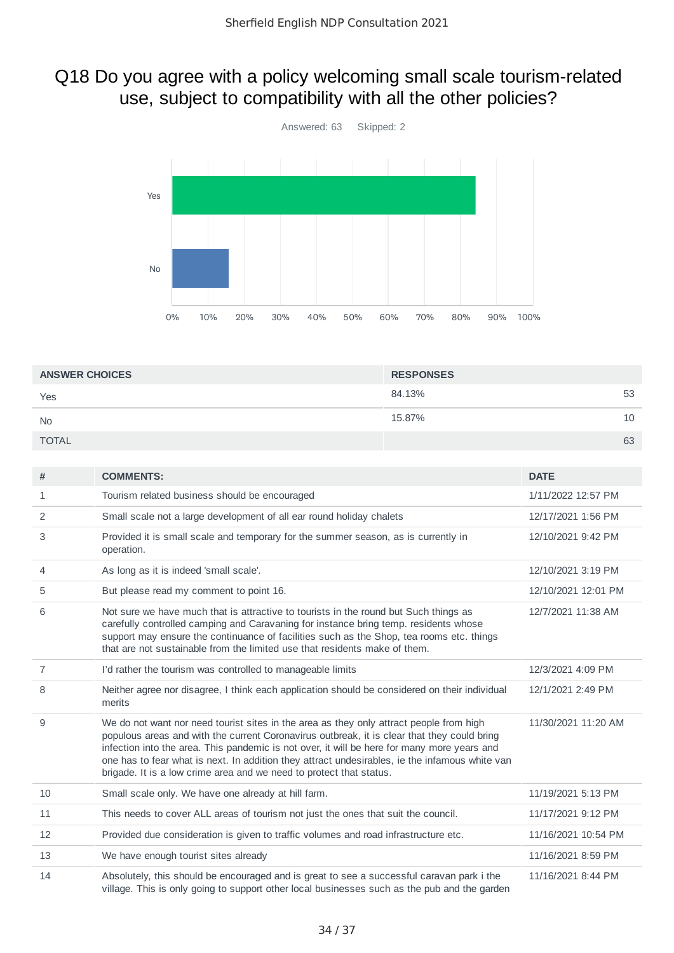## Q18 Do you agree with a policy welcoming small scale tourism-related use, subject to compatibility with all the other policies?



| <b>ANSWER CHOICES</b> | <b>RESPONSES</b> |    |
|-----------------------|------------------|----|
| Yes                   | 84.13%           | 53 |
| <b>No</b>             | 15.87%           | 10 |
| <b>TOTAL</b>          |                  | 63 |

| #              | <b>COMMENTS:</b>                                                                                                                                                                                                                                                                                                                                                                                                                                               | <b>DATE</b>         |
|----------------|----------------------------------------------------------------------------------------------------------------------------------------------------------------------------------------------------------------------------------------------------------------------------------------------------------------------------------------------------------------------------------------------------------------------------------------------------------------|---------------------|
| 1              | Tourism related business should be encouraged                                                                                                                                                                                                                                                                                                                                                                                                                  | 1/11/2022 12:57 PM  |
| 2              | Small scale not a large development of all ear round holiday chalets                                                                                                                                                                                                                                                                                                                                                                                           | 12/17/2021 1:56 PM  |
| 3              | Provided it is small scale and temporary for the summer season, as is currently in<br>operation.                                                                                                                                                                                                                                                                                                                                                               | 12/10/2021 9:42 PM  |
| 4              | As long as it is indeed 'small scale'.                                                                                                                                                                                                                                                                                                                                                                                                                         | 12/10/2021 3:19 PM  |
| 5              | But please read my comment to point 16.                                                                                                                                                                                                                                                                                                                                                                                                                        | 12/10/2021 12:01 PM |
| 6              | Not sure we have much that is attractive to tourists in the round but Such things as<br>carefully controlled camping and Caravaning for instance bring temp. residents whose<br>support may ensure the continuance of facilities such as the Shop, tea rooms etc. things<br>that are not sustainable from the limited use that residents make of them.                                                                                                         | 12/7/2021 11:38 AM  |
| $\overline{7}$ | I'd rather the tourism was controlled to manageable limits                                                                                                                                                                                                                                                                                                                                                                                                     | 12/3/2021 4:09 PM   |
| 8              | Neither agree nor disagree, I think each application should be considered on their individual<br>merits                                                                                                                                                                                                                                                                                                                                                        | 12/1/2021 2:49 PM   |
| 9              | We do not want nor need tourist sites in the area as they only attract people from high<br>populous areas and with the current Coronavirus outbreak, it is clear that they could bring<br>infection into the area. This pandemic is not over, it will be here for many more years and<br>one has to fear what is next. In addition they attract undesirables, ie the infamous white van<br>brigade. It is a low crime area and we need to protect that status. | 11/30/2021 11:20 AM |
| 10             | Small scale only. We have one already at hill farm.                                                                                                                                                                                                                                                                                                                                                                                                            | 11/19/2021 5:13 PM  |
| 11             | This needs to cover ALL areas of tourism not just the ones that suit the council.                                                                                                                                                                                                                                                                                                                                                                              | 11/17/2021 9:12 PM  |
| 12             | Provided due consideration is given to traffic volumes and road infrastructure etc.                                                                                                                                                                                                                                                                                                                                                                            | 11/16/2021 10:54 PM |
| 13             | We have enough tourist sites already                                                                                                                                                                                                                                                                                                                                                                                                                           | 11/16/2021 8:59 PM  |
| 14             | Absolutely, this should be encouraged and is great to see a successful caravan park i the<br>village. This is only going to support other local businesses such as the pub and the garden                                                                                                                                                                                                                                                                      | 11/16/2021 8:44 PM  |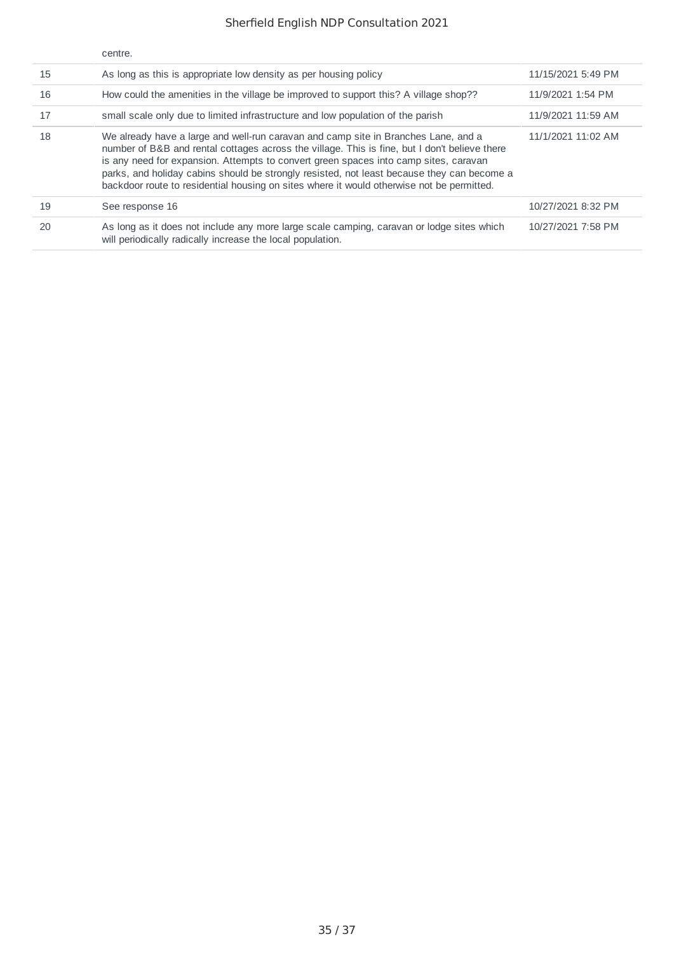|    | centre.                                                                                                                                                                                                                                                                                                                                                                                                                                                                |                    |
|----|------------------------------------------------------------------------------------------------------------------------------------------------------------------------------------------------------------------------------------------------------------------------------------------------------------------------------------------------------------------------------------------------------------------------------------------------------------------------|--------------------|
| 15 | As long as this is appropriate low density as per housing policy                                                                                                                                                                                                                                                                                                                                                                                                       | 11/15/2021 5:49 PM |
| 16 | How could the amenities in the village be improved to support this? A village shop??                                                                                                                                                                                                                                                                                                                                                                                   | 11/9/2021 1:54 PM  |
| 17 | small scale only due to limited infrastructure and low population of the parish                                                                                                                                                                                                                                                                                                                                                                                        | 11/9/2021 11:59 AM |
| 18 | We already have a large and well-run caravan and camp site in Branches Lane, and a<br>number of B&B and rental cottages across the village. This is fine, but I don't believe there<br>is any need for expansion. Attempts to convert green spaces into camp sites, caravan<br>parks, and holiday cabins should be strongly resisted, not least because they can become a<br>backdoor route to residential housing on sites where it would otherwise not be permitted. | 11/1/2021 11:02 AM |
| 19 | See response 16                                                                                                                                                                                                                                                                                                                                                                                                                                                        | 10/27/2021 8:32 PM |
| 20 | As long as it does not include any more large scale camping, caravan or lodge sites which<br>will periodically radically increase the local population.                                                                                                                                                                                                                                                                                                                | 10/27/2021 7:58 PM |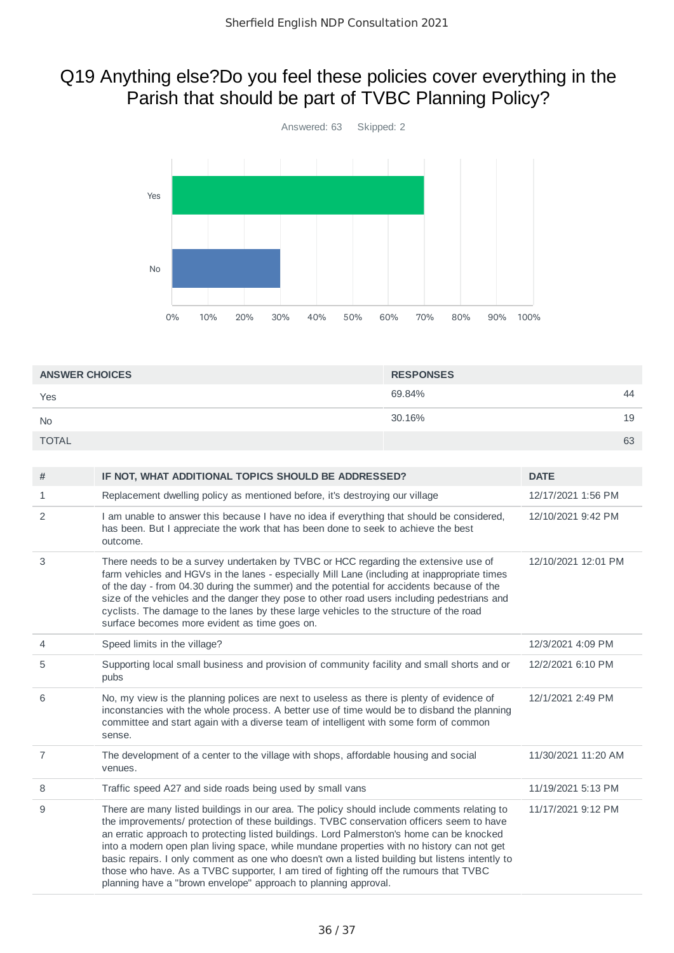## Q19 Anything else?Do you feel these policies cover everything in the Parish that should be part of TVBC Planning Policy?



| <b>ANSWER CHOICES</b> | <b>RESPONSES</b> |    |
|-----------------------|------------------|----|
| Yes                   | 69.84%           | 44 |
| <b>No</b>             | 30.16%           | 19 |
| <b>TOTAL</b>          |                  | 63 |

| # | IF NOT, WHAT ADDITIONAL TOPICS SHOULD BE ADDRESSED?                                                                                                                                                                                                                                                                                                                                                                                                                                                                                                                                                                                              | <b>DATE</b>         |
|---|--------------------------------------------------------------------------------------------------------------------------------------------------------------------------------------------------------------------------------------------------------------------------------------------------------------------------------------------------------------------------------------------------------------------------------------------------------------------------------------------------------------------------------------------------------------------------------------------------------------------------------------------------|---------------------|
| 1 | Replacement dwelling policy as mentioned before, it's destroying our village                                                                                                                                                                                                                                                                                                                                                                                                                                                                                                                                                                     | 12/17/2021 1:56 PM  |
| 2 | I am unable to answer this because I have no idea if everything that should be considered,<br>has been. But I appreciate the work that has been done to seek to achieve the best<br>outcome.                                                                                                                                                                                                                                                                                                                                                                                                                                                     | 12/10/2021 9:42 PM  |
| 3 | There needs to be a survey undertaken by TVBC or HCC regarding the extensive use of<br>farm vehicles and HGVs in the lanes - especially Mill Lane (including at inappropriate times<br>of the day - from 04.30 during the summer) and the potential for accidents because of the<br>size of the vehicles and the danger they pose to other road users including pedestrians and<br>cyclists. The damage to the lanes by these large vehicles to the structure of the road<br>surface becomes more evident as time goes on.                                                                                                                       | 12/10/2021 12:01 PM |
| 4 | Speed limits in the village?                                                                                                                                                                                                                                                                                                                                                                                                                                                                                                                                                                                                                     | 12/3/2021 4:09 PM   |
| 5 | Supporting local small business and provision of community facility and small shorts and or<br>pubs                                                                                                                                                                                                                                                                                                                                                                                                                                                                                                                                              | 12/2/2021 6:10 PM   |
| 6 | No, my view is the planning polices are next to useless as there is plenty of evidence of<br>inconstancies with the whole process. A better use of time would be to disband the planning<br>committee and start again with a diverse team of intelligent with some form of common<br>sense.                                                                                                                                                                                                                                                                                                                                                      | 12/1/2021 2:49 PM   |
| 7 | The development of a center to the village with shops, affordable housing and social<br>venues.                                                                                                                                                                                                                                                                                                                                                                                                                                                                                                                                                  | 11/30/2021 11:20 AM |
| 8 | Traffic speed A27 and side roads being used by small vans                                                                                                                                                                                                                                                                                                                                                                                                                                                                                                                                                                                        | 11/19/2021 5:13 PM  |
| 9 | There are many listed buildings in our area. The policy should include comments relating to<br>the improvements/ protection of these buildings. TVBC conservation officers seem to have<br>an erratic approach to protecting listed buildings. Lord Palmerston's home can be knocked<br>into a modern open plan living space, while mundane properties with no history can not get<br>basic repairs. I only comment as one who doesn't own a listed building but listens intently to<br>those who have. As a TVBC supporter, I am tired of fighting off the rumours that TVBC<br>planning have a "brown envelope" approach to planning approval. | 11/17/2021 9:12 PM  |